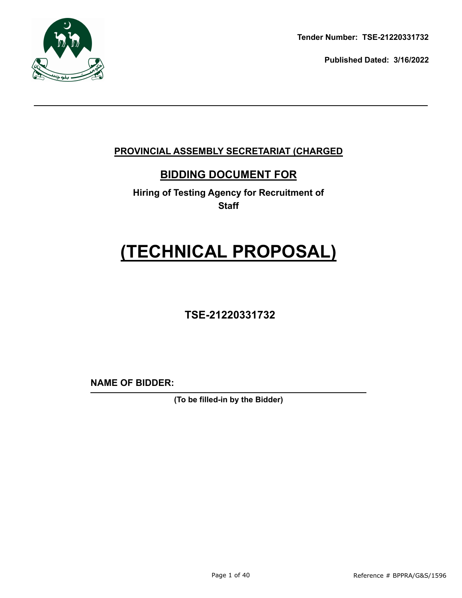

**Tender Number: TSE-21220331732**

**Published Dated: 3/16/2022** 

## **PROVINCIAL ASSEMBLY SECRETARIAT (CHARGED**

## **BIDDING DOCUMENT FOR**

**Hiring of Testing Agency for Recruitment of Staff**

## **(TECHNICAL PROPOSAL)**

## **TSE-21220331732**

**NAME OF BIDDER:**

**(To be filled-in by the Bidder)**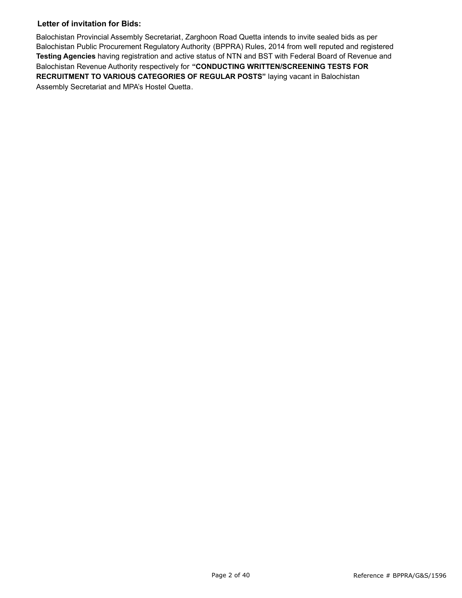#### **Letter of invitation for Bids:**

Balochistan Provincial Assembly Secretariat, Zarghoon Road Quetta intends to invite sealed bids as per Balochistan Public Procurement Regulatory Authority (BPPRA) Rules, 2014 from well reputed and registered **Testing Agencies** having registration and active status of NTN and BST with Federal Board of Revenue and Balochistan Revenue Authority respectively for **"CONDUCTING WRITTEN/SCREENING TESTS FOR RECRUITMENT TO VARIOUS CATEGORIES OF REGULAR POSTS"** laying vacant in Balochistan Assembly Secretariat and MPA's Hostel Quetta.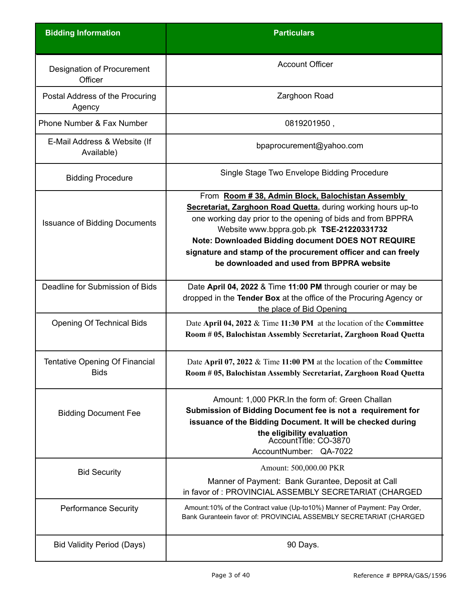| <b>Bidding Information</b>                           | <b>Particulars</b>                                                                                                                                                                                                                                                                                                                           |
|------------------------------------------------------|----------------------------------------------------------------------------------------------------------------------------------------------------------------------------------------------------------------------------------------------------------------------------------------------------------------------------------------------|
| Designation of Procurement<br>Officer                | <b>Account Officer</b>                                                                                                                                                                                                                                                                                                                       |
| Postal Address of the Procuring<br>Agency            | Zarghoon Road                                                                                                                                                                                                                                                                                                                                |
| Phone Number & Fax Number                            | 0819201950,                                                                                                                                                                                                                                                                                                                                  |
| E-Mail Address & Website (If<br>Available)           | bpaprocurement@yahoo.com                                                                                                                                                                                                                                                                                                                     |
| <b>Bidding Procedure</b>                             | Single Stage Two Envelope Bidding Procedure                                                                                                                                                                                                                                                                                                  |
|                                                      | From Room #38, Admin Block, Balochistan Assembly                                                                                                                                                                                                                                                                                             |
| <b>Issuance of Bidding Documents</b>                 | Secretariat, Zarghoon Road Quetta. during working hours up-to<br>one working day prior to the opening of bids and from BPPRA<br>Website www.bppra.gob.pk TSE-21220331732<br>Note: Downloaded Bidding document DOES NOT REQUIRE<br>signature and stamp of the procurement officer and can freely<br>be downloaded and used from BPPRA website |
| Deadline for Submission of Bids                      | Date April 04, 2022 & Time 11:00 PM through courier or may be<br>dropped in the Tender Box at the office of the Procuring Agency or<br>the place of Bid Opening                                                                                                                                                                              |
| <b>Opening Of Technical Bids</b>                     | Date April 04, 2022 & Time 11:30 PM at the location of the Committee<br>Room #05, Balochistan Assembly Secretariat, Zarghoon Road Quetta                                                                                                                                                                                                     |
| <b>Tentative Opening Of Financial</b><br><b>Bids</b> | Date April 07, 2022 & Time 11:00 PM at the location of the Committee<br>Room #05, Balochistan Assembly Secretariat, Zarghoon Road Quetta                                                                                                                                                                                                     |
| <b>Bidding Document Fee</b>                          | Amount: 1,000 PKR. In the form of: Green Challan<br>Submission of Bidding Document fee is not a requirement for<br>issuance of the Bidding Document. It will be checked during<br>the eligibility evaluation<br>AccountTitle: CO-3870<br>AccountNumber: QA-7022                                                                              |
| <b>Bid Security</b>                                  | Amount: 500,000.00 PKR                                                                                                                                                                                                                                                                                                                       |
|                                                      | Manner of Payment: Bank Gurantee, Deposit at Call<br>in favor of: PROVINCIAL ASSEMBLY SECRETARIAT (CHARGED                                                                                                                                                                                                                                   |
| <b>Performance Security</b>                          | Amount:10% of the Contract value (Up-to10%) Manner of Payment: Pay Order,<br>Bank Guranteein favor of: PROVINCIAL ASSEMBLY SECRETARIAT (CHARGED                                                                                                                                                                                              |
| <b>Bid Validity Period (Days)</b>                    | 90 Days.                                                                                                                                                                                                                                                                                                                                     |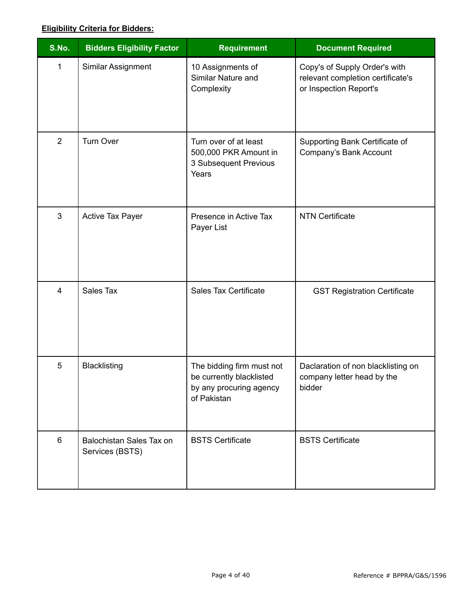#### **Eligibility Criteria for Bidders:**

| S.No.                   | <b>Bidders Eligibility Factor</b>           | <b>Requirement</b>                                                                              | <b>Document Required</b>                                                                     |
|-------------------------|---------------------------------------------|-------------------------------------------------------------------------------------------------|----------------------------------------------------------------------------------------------|
| 1                       | Similar Assignment                          | 10 Assignments of<br>Similar Nature and<br>Complexity                                           | Copy's of Supply Order's with<br>relevant completion certificate's<br>or Inspection Report's |
| $\overline{2}$          | <b>Turn Over</b>                            | Turn over of at least<br>500,000 PKR Amount in<br>3 Subsequent Previous<br>Years                | Supporting Bank Certificate of<br>Company's Bank Account                                     |
| 3                       | <b>Active Tax Payer</b>                     | Presence in Active Tax<br>Payer List                                                            | <b>NTN Certificate</b>                                                                       |
| $\overline{\mathbf{4}}$ | Sales Tax                                   | <b>Sales Tax Certificate</b>                                                                    | <b>GST Registration Certificate</b>                                                          |
| 5                       | Blacklisting                                | The bidding firm must not<br>be currently blacklisted<br>by any procuring agency<br>of Pakistan | Daclaration of non blacklisting on<br>company letter head by the<br>bidder                   |
| 6                       | Balochistan Sales Tax on<br>Services (BSTS) | <b>BSTS Certificate</b>                                                                         | <b>BSTS Certificate</b>                                                                      |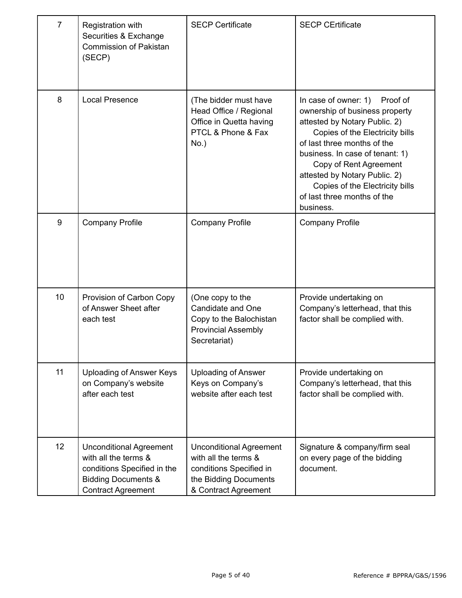| $\overline{7}$ | Registration with<br>Securities & Exchange<br><b>Commission of Pakistan</b><br>(SECP)                                                                | <b>SECP Certificate</b>                                                                                                            | <b>SECP CErtificate</b>                                                                                                                                                                                                                                                                                                                         |
|----------------|------------------------------------------------------------------------------------------------------------------------------------------------------|------------------------------------------------------------------------------------------------------------------------------------|-------------------------------------------------------------------------------------------------------------------------------------------------------------------------------------------------------------------------------------------------------------------------------------------------------------------------------------------------|
| 8              | <b>Local Presence</b>                                                                                                                                | (The bidder must have<br>Head Office / Regional<br>Office in Quetta having<br>PTCL & Phone & Fax<br>$No.$ )                        | In case of owner: 1) Proof of<br>ownership of business property<br>attested by Notary Public. 2)<br>Copies of the Electricity bills<br>of last three months of the<br>business. In case of tenant: 1)<br>Copy of Rent Agreement<br>attested by Notary Public. 2)<br>Copies of the Electricity bills<br>of last three months of the<br>business. |
| 9              | <b>Company Profile</b>                                                                                                                               | <b>Company Profile</b>                                                                                                             | <b>Company Profile</b>                                                                                                                                                                                                                                                                                                                          |
| 10             | Provision of Carbon Copy<br>of Answer Sheet after<br>each test                                                                                       | (One copy to the<br>Candidate and One<br>Copy to the Balochistan<br><b>Provincial Assembly</b><br>Secretariat)                     | Provide undertaking on<br>Company's letterhead, that this<br>factor shall be complied with.                                                                                                                                                                                                                                                     |
| 11             | Uploading of Answer Keys<br>on Company's website<br>after each test                                                                                  | <b>Uploading of Answer</b><br>Keys on Company's<br>website after each test                                                         | Provide undertaking on<br>Company's letterhead, that this<br>factor shall be complied with.                                                                                                                                                                                                                                                     |
| 12             | <b>Unconditional Agreement</b><br>with all the terms &<br>conditions Specified in the<br><b>Bidding Documents &amp;</b><br><b>Contract Agreement</b> | <b>Unconditional Agreement</b><br>with all the terms &<br>conditions Specified in<br>the Bidding Documents<br>& Contract Agreement | Signature & company/firm seal<br>on every page of the bidding<br>document.                                                                                                                                                                                                                                                                      |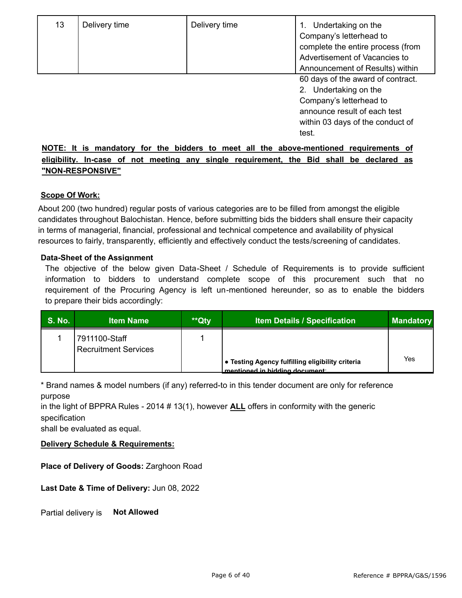| 13 | Delivery time | Delivery time | Undertaking on the<br>Company's letterhead to<br>complete the entire process (from<br>Advertisement of Vacancies to<br>Announcement of Results) within                |
|----|---------------|---------------|-----------------------------------------------------------------------------------------------------------------------------------------------------------------------|
|    |               |               | 60 days of the award of contract.<br>Undertaking on the<br>2.<br>Company's letterhead to<br>announce result of each test<br>within 03 days of the conduct of<br>test. |

#### **NOTE: It is mandatory for the bidders to meet all the above-mentioned requirements of eligibility. In-case of not meeting any single requirement, the Bid shall be declared as "NON-RESPONSIVE"**

#### **Scope Of Work:**

About 200 (two hundred) regular posts of various categories are to be filled from amongst the eligible candidates throughout Balochistan. Hence, before submitting bids the bidders shall ensure their capacity in terms of managerial, financial, professional and technical competence and availability of physical resources to fairly, transparently, efficiently and effectively conduct the tests/screening of candidates.

#### **Data-Sheet of the Assignment**

The objective of the below given Data-Sheet / Schedule of Requirements is to provide sufficient information to bidders to understand complete scope of this procurement such that no requirement of the Procuring Agency is left un-mentioned hereunder, so as to enable the bidders to prepare their bids accordingly:

| <b>S. No.</b> | <b>Item Name</b>                             | **Qty | <b>Item Details / Specification</b>                                                | <b>Mandatory</b> |
|---------------|----------------------------------------------|-------|------------------------------------------------------------------------------------|------------------|
|               | 7911100-Staff<br><b>Recruitment Services</b> |       |                                                                                    |                  |
|               |                                              |       | ● Testing Agency fulfilling eligibility criteria<br>mentioned in hidding document: | Yes              |

\* Brand names & model numbers (if any) referred-to in this tender document are only for reference purpose

in the light of BPPRA Rules - 2014 # 13(1), however **ALL** offers in conformity with the generic specification

shall be evaluated as equal.

#### **Delivery Schedule & Requirements:**

**Place of Delivery of Goods:** Zarghoon Road

**Last Date & Time of Delivery:** Jun 08, 2022

Partial delivery is **Not Allowed**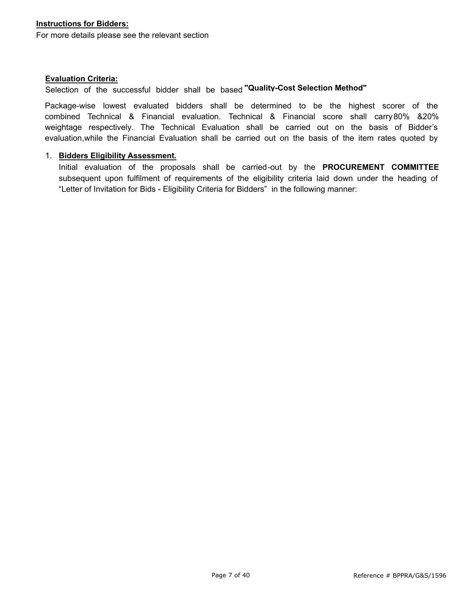For more details please see the relevant section

#### **Evaluation Criteria:**

Selection of the successful bidder shall be based **"Quality-Cost Selection Method"** 

Package-wise lowest evaluated bidders shall be determined to be the highest scorer of the combined Technical & Financial evaluation. Technical & Financial score shall carry80% &20% weightage respectively. The Technical Evaluation shall be carried out on the basis of Bidder's evaluation,while the Financial Evaluation shall be carried out on the basis of the item rates quoted by

#### 1. **Bidders Eligibility Assessment.**

Initial evaluation of the proposals shall be carried-out by the **PROCUREMENT COMMITTEE**  subsequent upon fulfilment of requirements of the eligibility criteria laid down under the heading of "Letter of Invitation for Bids - Eligibility Criteria for Bidders" in the following manner: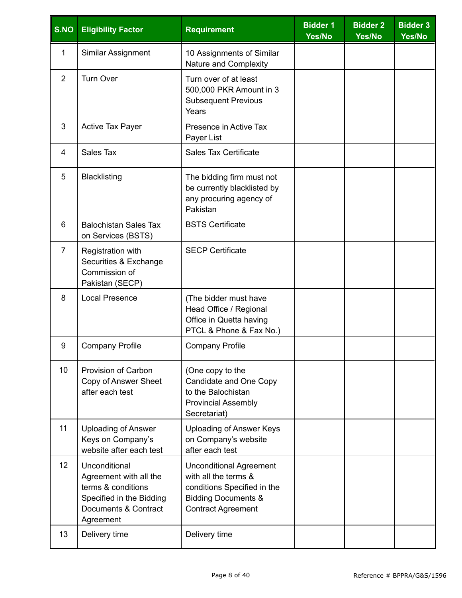| S.NO            | <b>Eligibility Factor</b>                                                                                                      | <b>Requirement</b>                                                                                                                                   | <b>Bidder 1</b><br>Yes/No | <b>Bidder 2</b><br>Yes/No | <b>Bidder 3</b><br>Yes/No |
|-----------------|--------------------------------------------------------------------------------------------------------------------------------|------------------------------------------------------------------------------------------------------------------------------------------------------|---------------------------|---------------------------|---------------------------|
| 1               | Similar Assignment                                                                                                             | 10 Assignments of Similar<br>Nature and Complexity                                                                                                   |                           |                           |                           |
| $\overline{2}$  | <b>Turn Over</b>                                                                                                               | Turn over of at least<br>500,000 PKR Amount in 3<br><b>Subsequent Previous</b><br>Years                                                              |                           |                           |                           |
| 3               | <b>Active Tax Payer</b>                                                                                                        | Presence in Active Tax<br>Payer List                                                                                                                 |                           |                           |                           |
| 4               | Sales Tax                                                                                                                      | <b>Sales Tax Certificate</b>                                                                                                                         |                           |                           |                           |
| 5               | <b>Blacklisting</b>                                                                                                            | The bidding firm must not<br>be currently blacklisted by<br>any procuring agency of<br>Pakistan                                                      |                           |                           |                           |
| 6               | <b>Balochistan Sales Tax</b><br>on Services (BSTS)                                                                             | <b>BSTS Certificate</b>                                                                                                                              |                           |                           |                           |
| $\overline{7}$  | Registration with<br>Securities & Exchange<br>Commission of<br>Pakistan (SECP)                                                 | <b>SECP Certificate</b>                                                                                                                              |                           |                           |                           |
| 8               | <b>Local Presence</b>                                                                                                          | (The bidder must have<br>Head Office / Regional<br>Office in Quetta having<br>PTCL & Phone & Fax No.)                                                |                           |                           |                           |
| 9               | <b>Company Profile</b>                                                                                                         | <b>Company Profile</b>                                                                                                                               |                           |                           |                           |
| 10              | <b>Provision of Carbon</b><br>Copy of Answer Sheet<br>after each test                                                          | (One copy to the<br>Candidate and One Copy<br>to the Balochistan<br><b>Provincial Assembly</b><br>Secretariat)                                       |                           |                           |                           |
| 11              | <b>Uploading of Answer</b><br>Keys on Company's<br>website after each test                                                     | <b>Uploading of Answer Keys</b><br>on Company's website<br>after each test                                                                           |                           |                           |                           |
| 12 <sup>°</sup> | Unconditional<br>Agreement with all the<br>terms & conditions<br>Specified in the Bidding<br>Documents & Contract<br>Agreement | <b>Unconditional Agreement</b><br>with all the terms &<br>conditions Specified in the<br><b>Bidding Documents &amp;</b><br><b>Contract Agreement</b> |                           |                           |                           |
| 13              | Delivery time                                                                                                                  | Delivery time                                                                                                                                        |                           |                           |                           |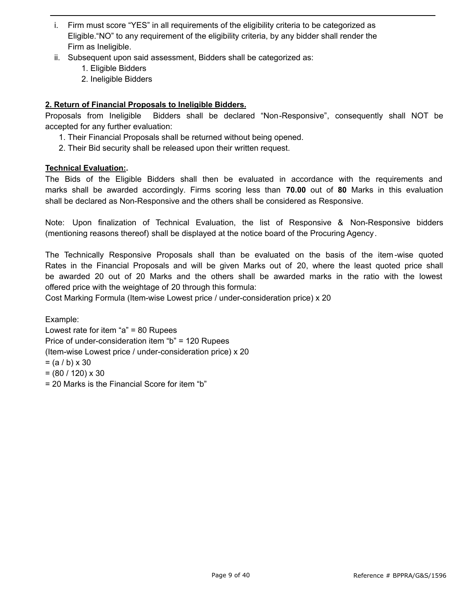- i. Firm must score "YES" in all requirements of the eligibility criteria to be categorized as Eligible."NO" to any requirement of the eligibility criteria, by any bidder shall render the Firm as Ineligible.
- ii. Subsequent upon said assessment, Bidders shall be categorized as:
	- 1. Eligible Bidders
	- 2. Ineligible Bidders

#### **2. Return of Financial Proposals to Ineligible Bidders.**

Proposals from Ineligible Bidders shall be declared "Non-Responsive", consequently shall NOT be accepted for any further evaluation:

- 1. Their Financial Proposals shall be returned without being opened.
- 2. Their Bid security shall be released upon their written request.

#### **Technical Evaluation:.**

The Bids of the Eligible Bidders shall then be evaluated in accordance with the requirements and marks shall be awarded accordingly. Firms scoring less than **70.00** out of **80** Marks in this evaluation shall be declared as Non-Responsive and the others shall be considered as Responsive.

Note: Upon finalization of Technical Evaluation, the list of Responsive & Non-Responsive bidders (mentioning reasons thereof) shall be displayed at the notice board of the Procuring Agency.

The Technically Responsive Proposals shall than be evaluated on the basis of the item-wise quoted Rates in the Financial Proposals and will be given Marks out of 20, where the least quoted price shall be awarded 20 out of 20 Marks and the others shall be awarded marks in the ratio with the lowest offered price with the weightage of 20 through this formula:

Cost Marking Formula (Item-wise Lowest price / under-consideration price) x 20

Example: Lowest rate for item "a" = 80 Rupees Price of under-consideration item "b" = 120 Rupees (Item-wise Lowest price / under-consideration price) x 20  $= (a / b) \times 30$  $= (80 / 120) \times 30$ = 20 Marks is the Financial Score for item "b"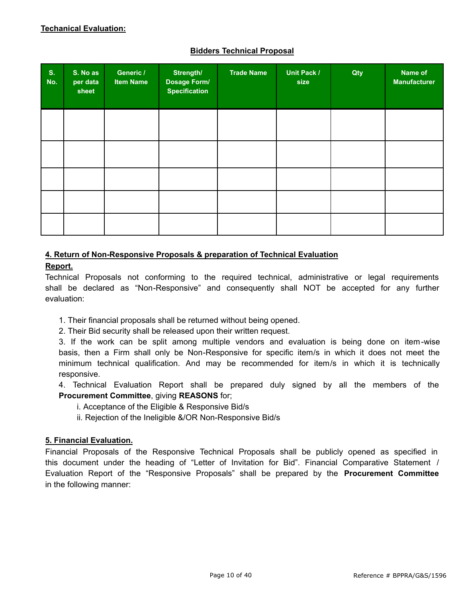#### **Bidders Technical Proposal**

| S.<br>No. | S. No as<br>per data<br>sheet | Generic /<br><b>Item Name</b> | Strength/<br>Dosage Form/<br><b>Specification</b> | <b>Trade Name</b> | <b>Unit Pack /</b><br>size | Qty | Name of<br><b>Manufacturer</b> |
|-----------|-------------------------------|-------------------------------|---------------------------------------------------|-------------------|----------------------------|-----|--------------------------------|
|           |                               |                               |                                                   |                   |                            |     |                                |
|           |                               |                               |                                                   |                   |                            |     |                                |
|           |                               |                               |                                                   |                   |                            |     |                                |
|           |                               |                               |                                                   |                   |                            |     |                                |
|           |                               |                               |                                                   |                   |                            |     |                                |

## **4. Return of Non-Responsive Proposals & preparation of Technical Evaluation**

#### **Report.**

Technical Proposals not conforming to the required technical, administrative or legal requirements shall be declared as "Non-Responsive" and consequently shall NOT be accepted for any further evaluation:

- 1. Their financial proposals shall be returned without being opened.
- 2. Their Bid security shall be released upon their written request.

3. If the work can be split among multiple vendors and evaluation is being done on item-wise basis, then a Firm shall only be Non-Responsive for specific item/s in which it does not meet the minimum technical qualification. And may be recommended for item/s in which it is technically responsive.

4. Technical Evaluation Report shall be prepared duly signed by all the members of the **Procurement Committee**, giving **REASONS** for;

- i. Acceptance of the Eligible & Responsive Bid/s
- ii. Rejection of the Ineligible &/OR Non-Responsive Bid/s

#### **5. Financial Evaluation.**

Financial Proposals of the Responsive Technical Proposals shall be publicly opened as specified in this document under the heading of "Letter of Invitation for Bid". Financial Comparative Statement / Evaluation Report of the "Responsive Proposals" shall be prepared by the **Procurement Committee**  in the following manner: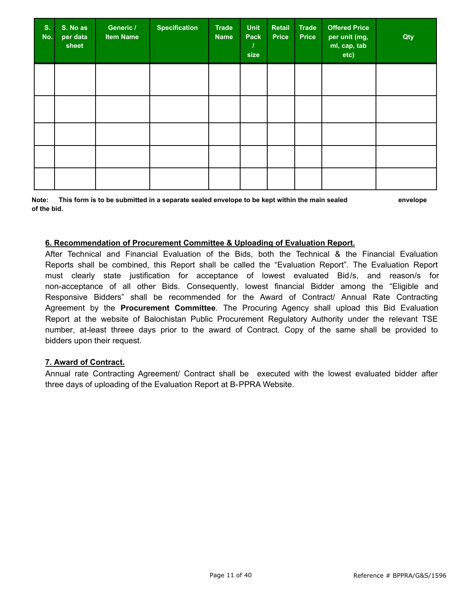| S.<br>No. | S. No as<br>per data<br>sheet | Generic /<br><b>Item Name</b> | <b>Specification</b> | <b>Trade</b><br><b>Name</b> | <b>Unit</b><br>Pack<br>size | Retail<br><b>Price</b> | <b>Trade</b><br><b>Price</b> | <b>Offered Price</b><br>per unit (mg,<br>ml, cap, tab<br>etc) | Qty |
|-----------|-------------------------------|-------------------------------|----------------------|-----------------------------|-----------------------------|------------------------|------------------------------|---------------------------------------------------------------|-----|
|           |                               |                               |                      |                             |                             |                        |                              |                                                               |     |
|           |                               |                               |                      |                             |                             |                        |                              |                                                               |     |
|           |                               |                               |                      |                             |                             |                        |                              |                                                               |     |
|           |                               |                               |                      |                             |                             |                        |                              |                                                               |     |
|           |                               |                               |                      |                             |                             |                        |                              |                                                               |     |

**Note: This form is to be submitted in a separate sealed envelope to be kept within the main sealed envelope of the bid.**

#### **6. Recommendation of Procurement Committee & Uploading of Evaluation Report.**

After Technical and Financial Evaluation of the Bids, both the Technical & the Financial Evaluation Reports shall be combined, this Report shall be called the "Evaluation Report". The Evaluation Report must clearly state justification for acceptance of lowest evaluated Bid/s, and reason/s for non-acceptance of all other Bids. Consequently, lowest financial Bidder among the "Eligible and Responsive Bidders" shall be recommended for the Award of Contract/ Annual Rate Contracting Agreement by the **Procurement Committee**. The Procuring Agency shall upload this Bid Evaluation Report at the website of Balochistan Public Procurement Regulatory Authority under the relevant TSE number, at-least threee days prior to the award of Contract. Copy of the same shall be provided to bidders upon their request.

#### **7. Award of Contract.**

Annual rate Contracting Agreement/ Contract shall be executed with the lowest evaluated bidder after three days of uploading of the Evaluation Report at B-PPRA Website.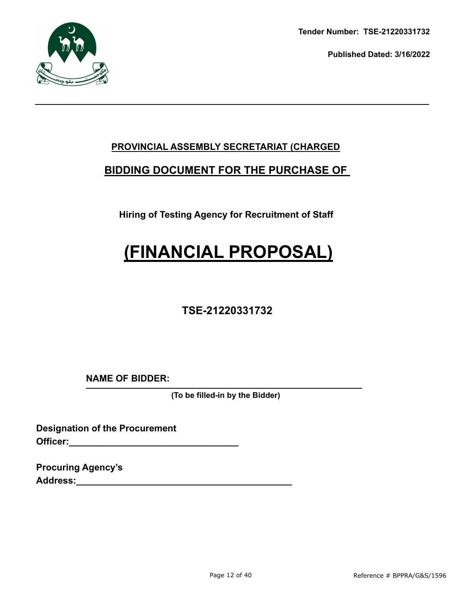

**Tender Number: TSE-21220331732**

**Published Dated: 3/16/2022** 

## **PROVINCIAL ASSEMBLY SECRETARIAT (CHARGED**

## **BIDDING DOCUMENT FOR THE PURCHASE OF**

**Hiring of Testing Agency for Recruitment of Staff**

# **(FINANCIAL PROPOSAL)**

## **TSE-21220331732**

**NAME OF BIDDER:**

**(To be filled-in by the Bidder)**

**Designation of the Procurement Officer:** 

**Procuring Agency's Address:\_\_\_\_\_\_\_\_\_\_\_\_\_\_\_\_\_\_\_\_\_\_\_\_\_\_\_\_\_\_\_\_\_\_\_\_\_\_\_\_\_\_**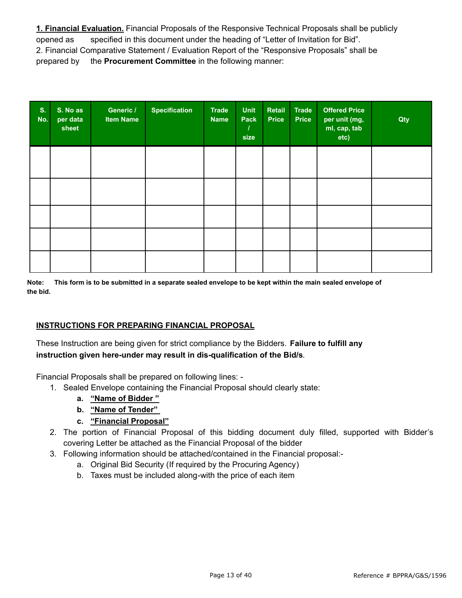**1. Financial Evaluation.** Financial Proposals of the Responsive Technical Proposals shall be publicly opened as specified in this document under the heading of "Letter of Invitation for Bid". 2. Financial Comparative Statement / Evaluation Report of the "Responsive Proposals" shall be prepared by the **Procurement Committee** in the following manner:

| S <sub>r</sub><br>No. | S. No as<br>per data<br>sheet | Generic /<br><b>Item Name</b> | <b>Specification</b> | <b>Trade</b><br><b>Name</b> | <b>Unit</b><br>Pack<br>size | Retail<br><b>Price</b> | <b>Trade</b><br><b>Price</b> | <b>Offered Price</b><br>per unit (mg,<br>ml, cap, tab<br>etc) | Qty |
|-----------------------|-------------------------------|-------------------------------|----------------------|-----------------------------|-----------------------------|------------------------|------------------------------|---------------------------------------------------------------|-----|
|                       |                               |                               |                      |                             |                             |                        |                              |                                                               |     |
|                       |                               |                               |                      |                             |                             |                        |                              |                                                               |     |
|                       |                               |                               |                      |                             |                             |                        |                              |                                                               |     |
|                       |                               |                               |                      |                             |                             |                        |                              |                                                               |     |
|                       |                               |                               |                      |                             |                             |                        |                              |                                                               |     |

**Note: This form is to be submitted in a separate sealed envelope to be kept within the main sealed envelope of the bid.**

#### **INSTRUCTIONS FOR PREPARING FINANCIAL PROPOSAL**

These Instruction are being given for strict compliance by the Bidders. **Failure to fulfill any instruction given here-under may result in dis-qualification of the Bid/s**.

Financial Proposals shall be prepared on following lines: -

- 1. Sealed Envelope containing the Financial Proposal should clearly state:
	- **a. "Name of Bidder "**
	- **b. "Name of Tender"**
	- **c. "Financial Proposal"**
- 2. The portion of Financial Proposal of this bidding document duly filled, supported with Bidder's covering Letter be attached as the Financial Proposal of the bidder
- 3. Following information should be attached/contained in the Financial proposal:
	- a. Original Bid Security (If required by the Procuring Agency)
	- b. Taxes must be included along-with the price of each item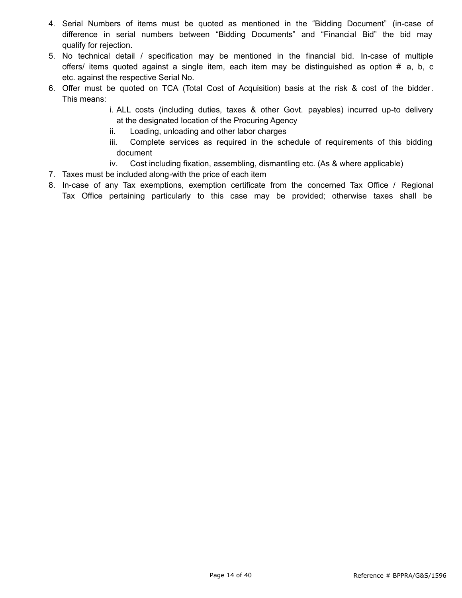- 4. Serial Numbers of items must be quoted as mentioned in the "Bidding Document" (in-case of difference in serial numbers between "Bidding Documents" and "Financial Bid" the bid may qualify for rejection.
- 5. No technical detail / specification may be mentioned in the financial bid. In-case of multiple offers/ items quoted against a single item, each item may be distinguished as option # a, b, c etc. against the respective Serial No.
- 6. Offer must be quoted on TCA (Total Cost of Acquisition) basis at the risk & cost of the bidder. This means:
	- i. ALL costs (including duties, taxes & other Govt. payables) incurred up-to delivery at the designated location of the Procuring Agency
	- ii. Loading, unloading and other labor charges
	- iii. Complete services as required in the schedule of requirements of this bidding document
	- iv. Cost including fixation, assembling, dismantling etc. (As & where applicable)
- 7. Taxes must be included along-with the price of each item
- 8. In-case of any Tax exemptions, exemption certificate from the concerned Tax Office / Regional Tax Office pertaining particularly to this case may be provided; otherwise taxes shall be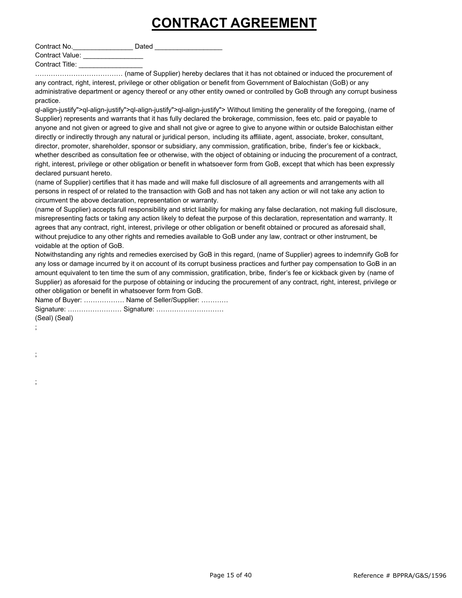## **CONTRACT AGREEMENT**

Contract No. The Dated Dated Contract No.

Contract Value: Contract Title: \_\_\_\_\_\_\_\_\_\_\_\_\_\_\_\_\_

………………………………… (name of Supplier) hereby declares that it has not obtained or induced the procurement of any contract, right, interest, privilege or other obligation or benefit from Government of Balochistan (GoB) or any administrative department or agency thereof or any other entity owned or controlled by GoB through any corrupt business practice.

ql-align-justify">ql-align-justify">ql-align-justify">ql-align-justify"> Without limiting the generality of the foregoing, (name of Supplier) represents and warrants that it has fully declared the brokerage, commission, fees etc. paid or payable to anyone and not given or agreed to give and shall not give or agree to give to anyone within or outside Balochistan either directly or indirectly through any natural or juridical person, including its affiliate, agent, associate, broker, consultant, director, promoter, shareholder, sponsor or subsidiary, any commission, gratification, bribe, finder's fee or kickback, whether described as consultation fee or otherwise, with the object of obtaining or inducing the procurement of a contract, right, interest, privilege or other obligation or benefit in whatsoever form from GoB, except that which has been expressly declared pursuant hereto.

(name of Supplier) certifies that it has made and will make full disclosure of all agreements and arrangements with all persons in respect of or related to the transaction with GoB and has not taken any action or will not take any action to circumvent the above declaration, representation or warranty.

(name of Supplier) accepts full responsibility and strict liability for making any false declaration, not making full disclosure, misrepresenting facts or taking any action likely to defeat the purpose of this declaration, representation and warranty. It agrees that any contract, right, interest, privilege or other obligation or benefit obtained or procured as aforesaid shall, without prejudice to any other rights and remedies available to GoB under any law, contract or other instrument, be voidable at the option of GoB.

Notwithstanding any rights and remedies exercised by GoB in this regard, (name of Supplier) agrees to indemnify GoB for any loss or damage incurred by it on account of its corrupt business practices and further pay compensation to GoB in an amount equivalent to ten time the sum of any commission, gratification, bribe, finder's fee or kickback given by (name of Supplier) as aforesaid for the purpose of obtaining or inducing the procurement of any contract, right, interest, privilege or other obligation or benefit in whatsoever form from GoB.

Name of Buyer: ……………… Name of Seller/Supplier: ………… Signature: …………………… Signature: ………………………… (Seal) (Seal)

;

;

;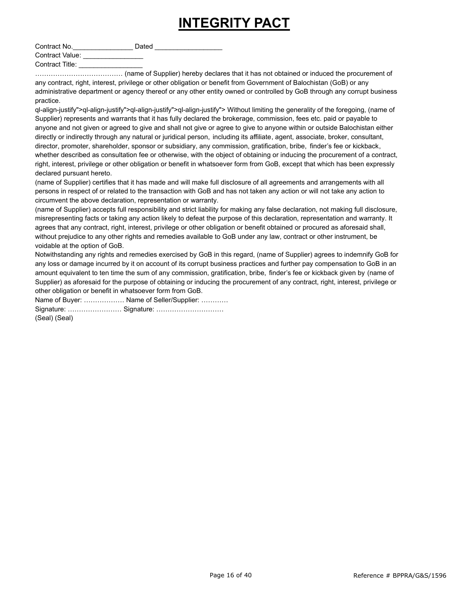## **INTEGRITY PACT**

Contract No. Contract No. Contract Value:

Contract Title: \_\_\_\_\_\_\_\_\_\_\_\_\_\_\_\_\_

………………………………… (name of Supplier) hereby declares that it has not obtained or induced the procurement of any contract, right, interest, privilege or other obligation or benefit from Government of Balochistan (GoB) or any administrative department or agency thereof or any other entity owned or controlled by GoB through any corrupt business practice.

ql-align-justify">ql-align-justify">ql-align-justify">ql-align-justify"> Without limiting the generality of the foregoing, (name of Supplier) represents and warrants that it has fully declared the brokerage, commission, fees etc. paid or payable to anyone and not given or agreed to give and shall not give or agree to give to anyone within or outside Balochistan either directly or indirectly through any natural or juridical person, including its affiliate, agent, associate, broker, consultant, director, promoter, shareholder, sponsor or subsidiary, any commission, gratification, bribe, finder's fee or kickback, whether described as consultation fee or otherwise, with the object of obtaining or inducing the procurement of a contract, right, interest, privilege or other obligation or benefit in whatsoever form from GoB, except that which has been expressly declared pursuant hereto.

(name of Supplier) certifies that it has made and will make full disclosure of all agreements and arrangements with all persons in respect of or related to the transaction with GoB and has not taken any action or will not take any action to circumvent the above declaration, representation or warranty.

(name of Supplier) accepts full responsibility and strict liability for making any false declaration, not making full disclosure, misrepresenting facts or taking any action likely to defeat the purpose of this declaration, representation and warranty. It agrees that any contract, right, interest, privilege or other obligation or benefit obtained or procured as aforesaid shall, without prejudice to any other rights and remedies available to GoB under any law, contract or other instrument, be voidable at the option of GoB.

Notwithstanding any rights and remedies exercised by GoB in this regard, (name of Supplier) agrees to indemnify GoB for any loss or damage incurred by it on account of its corrupt business practices and further pay compensation to GoB in an amount equivalent to ten time the sum of any commission, gratification, bribe, finder's fee or kickback given by (name of Supplier) as aforesaid for the purpose of obtaining or inducing the procurement of any contract, right, interest, privilege or other obligation or benefit in whatsoever form from GoB.

Name of Buyer: ……………… Name of Seller/Supplier: ………… Signature: …………………… Signature: …………………………

(Seal) (Seal)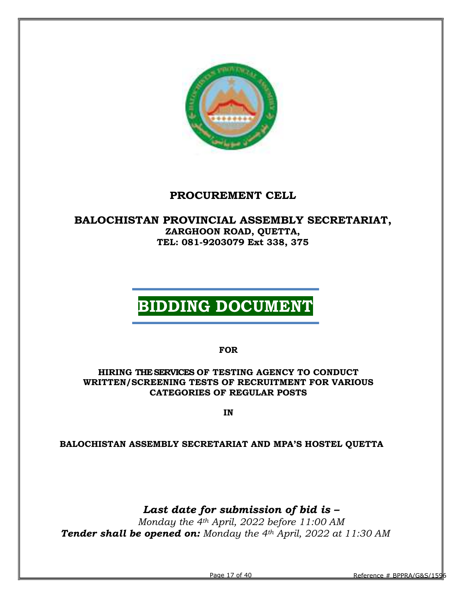

## PROCUREMENT CELL

### BALOCHISTAN PROVINCIAL ASSEMBLY SECRETARIAT, ZARGHOON ROAD, QUETTA, TEL: 081-9203079 Ext 338, 375

# BIDDING DOCUMENT

FOR

#### HIRING THE SERVICES OF TESTING AGENCY TO CONDUCT WRITTEN/SCREENING TESTS OF RECRUITMENT FOR VARIOUS CATEGORIES OF REGULAR POSTS

IN

#### BALOCHISTAN ASSEMBLY SECRETARIAT AND MPA'S HOSTEL QUETTA

## Last date for submission of bid is –

Monday the 4th April, 2022 before 11:00 AM **Tender shall be opened on:** Monday the  $4<sup>th</sup>$  April, 2022 at 11:30 AM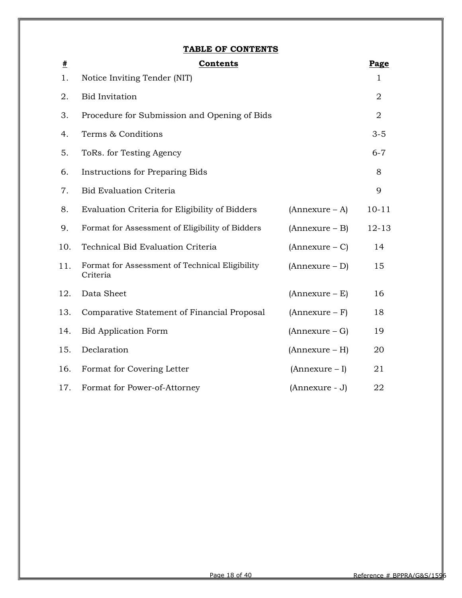#### TABLE OF CONTENTS

| $\pmb{\#}$ | <b>Contents</b>                                            |                  | Page           |
|------------|------------------------------------------------------------|------------------|----------------|
| 1.         | Notice Inviting Tender (NIT)                               |                  | 1              |
| 2.         | <b>Bid Invitation</b>                                      |                  | $\overline{2}$ |
| 3.         | Procedure for Submission and Opening of Bids               |                  | $\overline{2}$ |
| 4.         | Terms & Conditions                                         |                  | $3 - 5$        |
| 5.         | ToRs. for Testing Agency                                   |                  | $6 - 7$        |
| 6.         | <b>Instructions for Preparing Bids</b>                     |                  | 8              |
| 7.         | <b>Bid Evaluation Criteria</b>                             |                  | 9              |
| 8.         | Evaluation Criteria for Eligibility of Bidders             | $(Annexure - A)$ | $10 - 11$      |
| 9.         | Format for Assessment of Eligibility of Bidders            | (Annexure – B)   | $12 - 13$      |
| 10.        | Technical Bid Evaluation Criteria                          | $(Annexure - C)$ | 14             |
| 11.        | Format for Assessment of Technical Eligibility<br>Criteria | $(Annexure - D)$ | 15             |
| 12.        | Data Sheet                                                 | $(Annexure - E)$ | 16             |
| 13.        | Comparative Statement of Financial Proposal                | $(Annexure - F)$ | 18             |
| 14.        | <b>Bid Application Form</b>                                | $(Annexure - G)$ | 19             |
| 15.        | Declaration                                                | $(Annexure - H)$ | 20             |
| 16.        | Format for Covering Letter                                 | $(Annexure - I)$ | 21             |
| 17.        | Format for Power-of-Attorney                               | (Annexure - J)   | 22             |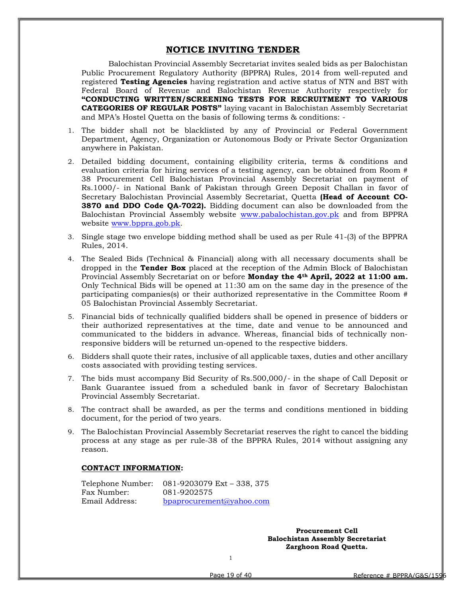#### NOTICE INVITING TENDER

Balochistan Provincial Assembly Secretariat invites sealed bids as per Balochistan Public Procurement Regulatory Authority (BPPRA) Rules, 2014 from well-reputed and registered Testing Agencies having registration and active status of NTN and BST with Federal Board of Revenue and Balochistan Revenue Authority respectively for "CONDUCTING WRITTEN/SCREENING TESTS FOR RECRUITMENT TO VARIOUS CATEGORIES OF REGULAR POSTS" laying vacant in Balochistan Assembly Secretariat and MPA's Hostel Quetta on the basis of following terms & conditions: -

- 1. The bidder shall not be blacklisted by any of Provincial or Federal Government Department, Agency, Organization or Autonomous Body or Private Sector Organization anywhere in Pakistan.
- 2. Detailed bidding document, containing eligibility criteria, terms & conditions and evaluation criteria for hiring services of a testing agency, can be obtained from Room # 38 Procurement Cell Balochistan Provincial Assembly Secretariat on payment of Rs.1000/- in National Bank of Pakistan through Green Deposit Challan in favor of Secretary Balochistan Provincial Assembly Secretariat, Quetta (Head of Account CO-3870 and DDO Code QA-7022). Bidding document can also be downloaded from the Balochistan Provincial Assembly website www.pabalochistan.gov.pk and from BPPRA website www.bppra.gob.pk.
- 3. Single stage two envelope bidding method shall be used as per Rule 41-(3) of the BPPRA Rules, 2014.
- 4. The Sealed Bids (Technical & Financial) along with all necessary documents shall be dropped in the Tender Box placed at the reception of the Admin Block of Balochistan Provincial Assembly Secretariat on or before **Monday the 4<sup>th</sup> April, 2022 at 11:00 am.** Only Technical Bids will be opened at 11:30 am on the same day in the presence of the participating companies(s) or their authorized representative in the Committee Room # 05 Balochistan Provincial Assembly Secretariat.
- 5. Financial bids of technically qualified bidders shall be opened in presence of bidders or their authorized representatives at the time, date and venue to be announced and communicated to the bidders in advance. Whereas, financial bids of technically nonresponsive bidders will be returned un-opened to the respective bidders.
- 6. Bidders shall quote their rates, inclusive of all applicable taxes, duties and other ancillary costs associated with providing testing services.
- 7. The bids must accompany Bid Security of Rs.500,000/- in the shape of Call Deposit or Bank Guarantee issued from a scheduled bank in favor of Secretary Balochistan Provincial Assembly Secretariat.
- 8. The contract shall be awarded, as per the terms and conditions mentioned in bidding document, for the period of two years.
- 9. The Balochistan Provincial Assembly Secretariat reserves the right to cancel the bidding process at any stage as per rule-38 of the BPPRA Rules, 2014 without assigning any reason.

#### CONTACT INFORMATION:

Telephone Number: 081-9203079 Ext – 338, 375 Fax Number: 081-9202575 Email Address: bpaprocurement@yahoo.com

> Procurement Cell Balochistan Assembly Secretariat Zarghoon Road Quetta.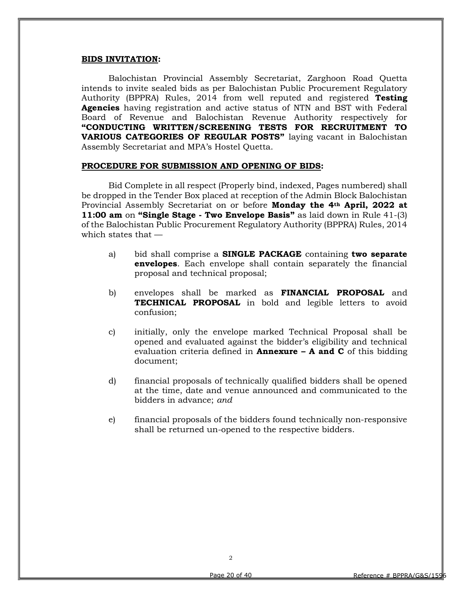#### BIDS INVITATION:

Balochistan Provincial Assembly Secretariat, Zarghoon Road Quetta intends to invite sealed bids as per Balochistan Public Procurement Regulatory Authority (BPPRA) Rules, 2014 from well reputed and registered Testing Agencies having registration and active status of NTN and BST with Federal Board of Revenue and Balochistan Revenue Authority respectively for "CONDUCTING WRITTEN/SCREENING TESTS FOR RECRUITMENT TO VARIOUS CATEGORIES OF REGULAR POSTS" laying vacant in Balochistan Assembly Secretariat and MPA's Hostel Quetta.

#### PROCEDURE FOR SUBMISSION AND OPENING OF BIDS:

Bid Complete in all respect (Properly bind, indexed, Pages numbered) shall be dropped in the Tender Box placed at reception of the Admin Block Balochistan Provincial Assembly Secretariat on or before **Monday the 4th April, 2022 at** 11:00 am on "Single Stage - Two Envelope Basis" as laid down in Rule 41-(3) of the Balochistan Public Procurement Regulatory Authority (BPPRA) Rules, 2014 which states that —

- a) bid shall comprise a SINGLE PACKAGE containing two separate envelopes. Each envelope shall contain separately the financial proposal and technical proposal;
- b) envelopes shall be marked as FINANCIAL PROPOSAL and TECHNICAL PROPOSAL in bold and legible letters to avoid confusion;
- c) initially, only the envelope marked Technical Proposal shall be opened and evaluated against the bidder's eligibility and technical evaluation criteria defined in **Annexure – A and C** of this bidding document;
- d) financial proposals of technically qualified bidders shall be opened at the time, date and venue announced and communicated to the bidders in advance; and
- e) financial proposals of the bidders found technically non-responsive shall be returned un-opened to the respective bidders.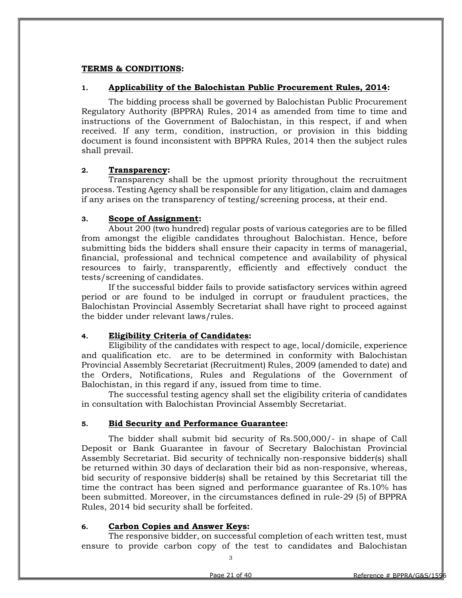#### TERMS & CONDITIONS:

#### 1. Applicability of the Balochistan Public Procurement Rules, 2014:

The bidding process shall be governed by Balochistan Public Procurement Regulatory Authority (BPPRA) Rules, 2014 as amended from time to time and instructions of the Government of Balochistan, in this respect, if and when received. If any term, condition, instruction, or provision in this bidding document is found inconsistent with BPPRA Rules, 2014 then the subject rules shall prevail.

#### 2. Transparency:

Transparency shall be the upmost priority throughout the recruitment process. Testing Agency shall be responsible for any litigation, claim and damages if any arises on the transparency of testing/screening process, at their end.

#### 3. Scope of Assignment:

About 200 (two hundred) regular posts of various categories are to be filled from amongst the eligible candidates throughout Balochistan. Hence, before submitting bids the bidders shall ensure their capacity in terms of managerial, financial, professional and technical competence and availability of physical resources to fairly, transparently, efficiently and effectively conduct the tests/screening of candidates.

If the successful bidder fails to provide satisfactory services within agreed period or are found to be indulged in corrupt or fraudulent practices, the Balochistan Provincial Assembly Secretariat shall have right to proceed against the bidder under relevant laws/rules.

#### 4. Eligibility Criteria of Candidates:

Eligibility of the candidates with respect to age, local/domicile, experience and qualification etc. are to be determined in conformity with Balochistan Provincial Assembly Secretariat (Recruitment) Rules, 2009 (amended to date) and the Orders, Notifications, Rules and Regulations of the Government of Balochistan, in this regard if any, issued from time to time.

The successful testing agency shall set the eligibility criteria of candidates in consultation with Balochistan Provincial Assembly Secretariat.

#### 5. Bid Security and Performance Guarantee:

The bidder shall submit bid security of Rs.500,000/- in shape of Call Deposit or Bank Guarantee in favour of Secretary Balochistan Provincial Assembly Secretariat. Bid security of technically non-responsive bidder(s) shall be returned within 30 days of declaration their bid as non-responsive, whereas, bid security of responsive bidder(s) shall be retained by this Secretariat till the time the contract has been signed and performance guarantee of Rs.10% has been submitted. Moreover, in the circumstances defined in rule-29 (5) of BPPRA Rules, 2014 bid security shall be forfeited.

#### 6. Carbon Copies and Answer Keys:

The responsive bidder, on successful completion of each written test, must ensure to provide carbon copy of the test to candidates and Balochistan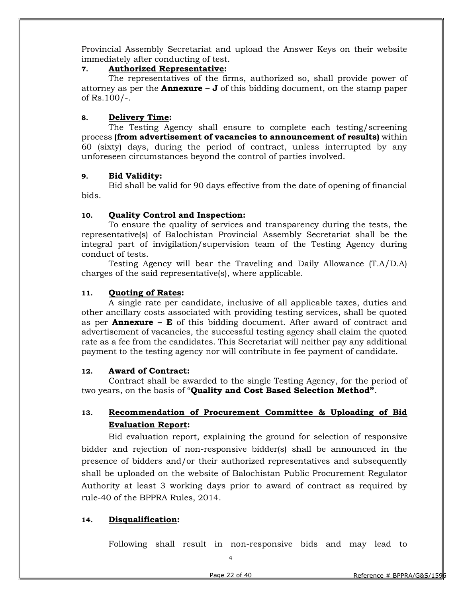Provincial Assembly Secretariat and upload the Answer Keys on their website immediately after conducting of test.

#### 7. Authorized Representative:

The representatives of the firms, authorized so, shall provide power of attorney as per the **Annexure – J** of this bidding document, on the stamp paper of Rs.100/-.

#### 8. Delivery Time:

The Testing Agency shall ensure to complete each testing/screening process (from advertisement of vacancies to announcement of results) within 60 (sixty) days, during the period of contract, unless interrupted by any unforeseen circumstances beyond the control of parties involved.

#### 9. Bid Validity:

Bid shall be valid for 90 days effective from the date of opening of financial bids.

#### 10. Quality Control and Inspection:

To ensure the quality of services and transparency during the tests, the representative(s) of Balochistan Provincial Assembly Secretariat shall be the integral part of invigilation/supervision team of the Testing Agency during conduct of tests.

Testing Agency will bear the Traveling and Daily Allowance (T.A/D.A) charges of the said representative(s), where applicable.

#### 11. Quoting of Rates:

A single rate per candidate, inclusive of all applicable taxes, duties and other ancillary costs associated with providing testing services, shall be quoted as per **Annexure – E** of this bidding document. After award of contract and advertisement of vacancies, the successful testing agency shall claim the quoted rate as a fee from the candidates. This Secretariat will neither pay any additional payment to the testing agency nor will contribute in fee payment of candidate.

#### 12. Award of Contract:

Contract shall be awarded to the single Testing Agency, for the period of two years, on the basis of "Quality and Cost Based Selection Method".

#### 13. Recommendation of Procurement Committee & Uploading of Bid Evaluation Report:

Bid evaluation report, explaining the ground for selection of responsive bidder and rejection of non-responsive bidder(s) shall be announced in the presence of bidders and/or their authorized representatives and subsequently shall be uploaded on the website of Balochistan Public Procurement Regulator Authority at least 3 working days prior to award of contract as required by rule-40 of the BPPRA Rules, 2014.

#### 14. Disqualification:

Following shall result in non-responsive bids and may lead to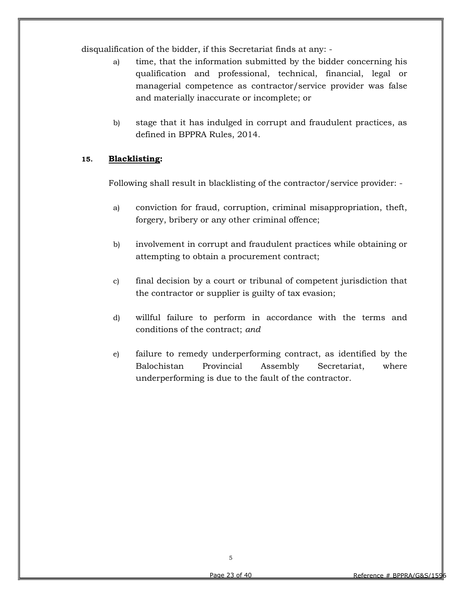disqualification of the bidder, if this Secretariat finds at any: -

- a) time, that the information submitted by the bidder concerning his qualification and professional, technical, financial, legal or managerial competence as contractor/service provider was false and materially inaccurate or incomplete; or
- b) stage that it has indulged in corrupt and fraudulent practices, as defined in BPPRA Rules, 2014.

#### 15. Blacklisting:

Following shall result in blacklisting of the contractor/service provider: -

- a) conviction for fraud, corruption, criminal misappropriation, theft, forgery, bribery or any other criminal offence;
- b) involvement in corrupt and fraudulent practices while obtaining or attempting to obtain a procurement contract;
- c) final decision by a court or tribunal of competent jurisdiction that the contractor or supplier is guilty of tax evasion;
- d) willful failure to perform in accordance with the terms and conditions of the contract; and
- e) failure to remedy underperforming contract, as identified by the Balochistan Provincial Assembly Secretariat, where underperforming is due to the fault of the contractor.

5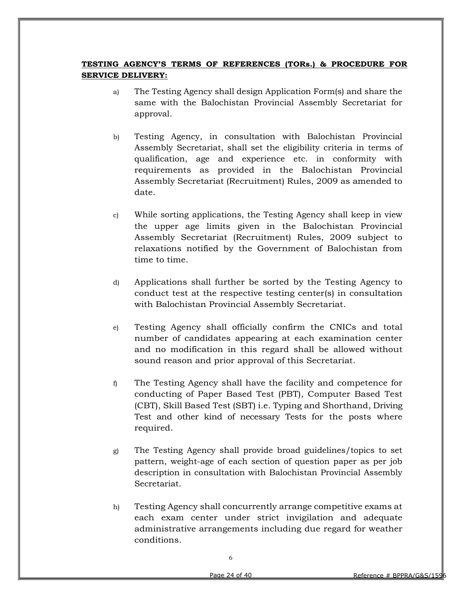#### TESTING AGENCY'S TERMS OF REFERENCES (TORs.) & PROCEDURE FOR SERVICE DELIVERY:

- a) The Testing Agency shall design Application Form(s) and share the same with the Balochistan Provincial Assembly Secretariat for approval.
- b) Testing Agency, in consultation with Balochistan Provincial Assembly Secretariat, shall set the eligibility criteria in terms of qualification, age and experience etc. in conformity with requirements as provided in the Balochistan Provincial Assembly Secretariat (Recruitment) Rules, 2009 as amended to date.
- c) While sorting applications, the Testing Agency shall keep in view the upper age limits given in the Balochistan Provincial Assembly Secretariat (Recruitment) Rules, 2009 subject to relaxations notified by the Government of Balochistan from time to time.
- d) Applications shall further be sorted by the Testing Agency to conduct test at the respective testing center(s) in consultation with Balochistan Provincial Assembly Secretariat.
- e) Testing Agency shall officially confirm the CNICs and total number of candidates appearing at each examination center and no modification in this regard shall be allowed without sound reason and prior approval of this Secretariat.
- f) The Testing Agency shall have the facility and competence for conducting of Paper Based Test (PBT), Computer Based Test (CBT), Skill Based Test (SBT) i.e. Typing and Shorthand, Driving Test and other kind of necessary Tests for the posts where required.
- g) The Testing Agency shall provide broad guidelines/topics to set pattern, weight-age of each section of question paper as per job description in consultation with Balochistan Provincial Assembly Secretariat.
- h) Testing Agency shall concurrently arrange competitive exams at each exam center under strict invigilation and adequate administrative arrangements including due regard for weather conditions.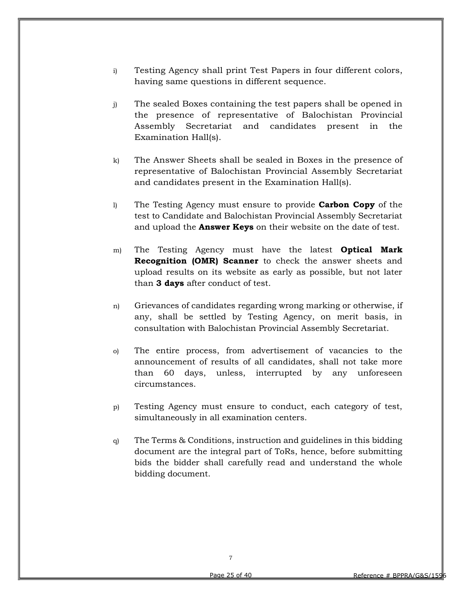- i) Testing Agency shall print Test Papers in four different colors, having same questions in different sequence.
- j) The sealed Boxes containing the test papers shall be opened in the presence of representative of Balochistan Provincial Assembly Secretariat and candidates present in the Examination Hall(s).
- k) The Answer Sheets shall be sealed in Boxes in the presence of representative of Balochistan Provincial Assembly Secretariat and candidates present in the Examination Hall(s).
- l) The Testing Agency must ensure to provide Carbon Copy of the test to Candidate and Balochistan Provincial Assembly Secretariat and upload the **Answer Keys** on their website on the date of test.
- m) The Testing Agency must have the latest **Optical Mark** Recognition (OMR) Scanner to check the answer sheets and upload results on its website as early as possible, but not later than 3 days after conduct of test.
- n) Grievances of candidates regarding wrong marking or otherwise, if any, shall be settled by Testing Agency, on merit basis, in consultation with Balochistan Provincial Assembly Secretariat.
- o) The entire process, from advertisement of vacancies to the announcement of results of all candidates, shall not take more than 60 days, unless, interrupted by any unforeseen circumstances.
- p) Testing Agency must ensure to conduct, each category of test, simultaneously in all examination centers.
- q) The Terms & Conditions, instruction and guidelines in this bidding document are the integral part of ToRs, hence, before submitting bids the bidder shall carefully read and understand the whole bidding document.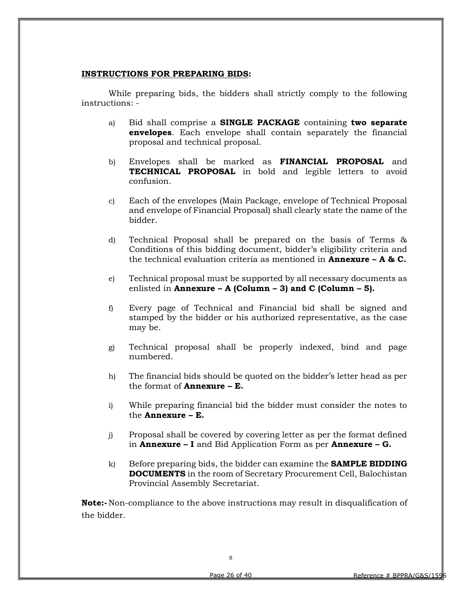#### INSTRUCTIONS FOR PREPARING BIDS:

 While preparing bids, the bidders shall strictly comply to the following instructions: -

- a) Bid shall comprise a SINGLE PACKAGE containing two separate envelopes. Each envelope shall contain separately the financial proposal and technical proposal.
- b) Envelopes shall be marked as FINANCIAL PROPOSAL and **TECHNICAL PROPOSAL** in bold and legible letters to avoid confusion.
- c) Each of the envelopes (Main Package, envelope of Technical Proposal and envelope of Financial Proposal) shall clearly state the name of the bidder.
- d) Technical Proposal shall be prepared on the basis of Terms & Conditions of this bidding document, bidder's eligibility criteria and the technical evaluation criteria as mentioned in **Annexure – A & C.**
- e) Technical proposal must be supported by all necessary documents as enlisted in Annexure – A (Column – 3) and C (Column – 5).
- f) Every page of Technical and Financial bid shall be signed and stamped by the bidder or his authorized representative, as the case may be.
- g) Technical proposal shall be properly indexed, bind and page numbered.
- h) The financial bids should be quoted on the bidder's letter head as per the format of  $\text{Annexure} - \mathbf{E}$ .
- i) While preparing financial bid the bidder must consider the notes to the Annexure – E.
- j) Proposal shall be covered by covering letter as per the format defined in **Annexure – I** and Bid Application Form as per **Annexure – G.**
- k) Before preparing bids, the bidder can examine the **SAMPLE BIDDING** DOCUMENTS in the room of Secretary Procurement Cell, Balochistan Provincial Assembly Secretariat.

Note:- Non-compliance to the above instructions may result in disqualification of the bidder.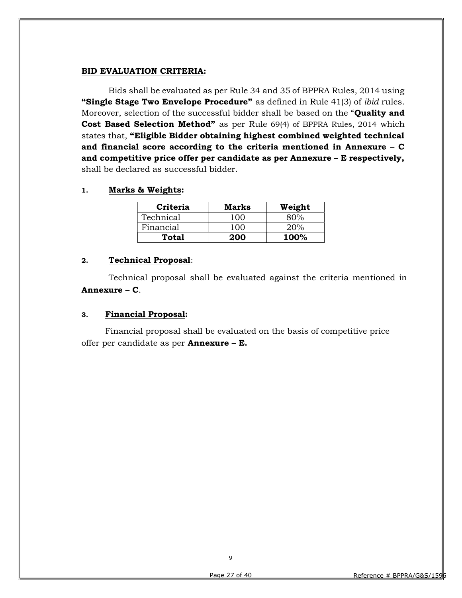#### BID EVALUATION CRITERIA:

Bids shall be evaluated as per Rule 34 and 35 of BPPRA Rules, 2014 using "Single Stage Two Envelope Procedure" as defined in Rule 41(3) of *ibid* rules. Moreover, selection of the successful bidder shall be based on the "**Quality and** Cost Based Selection Method" as per Rule 69(4) of BPPRA Rules, 2014 which states that, "Eligible Bidder obtaining highest combined weighted technical and financial score according to the criteria mentioned in Annexure – C and competitive price offer per candidate as per Annexure – E respectively, shall be declared as successful bidder.

1. Marks & Weights:

| Criteria  | Marks | Weight      |
|-----------|-------|-------------|
| Technical | 100   | 80%         |
| Financial | 100   | 20%         |
| Total     | 200   | <b>100%</b> |

#### 2. Technical Proposal:

Technical proposal shall be evaluated against the criteria mentioned in Annexure – C.

#### 3. Financial Proposal:

Financial proposal shall be evaluated on the basis of competitive price offer per candidate as per Annexure – E.

9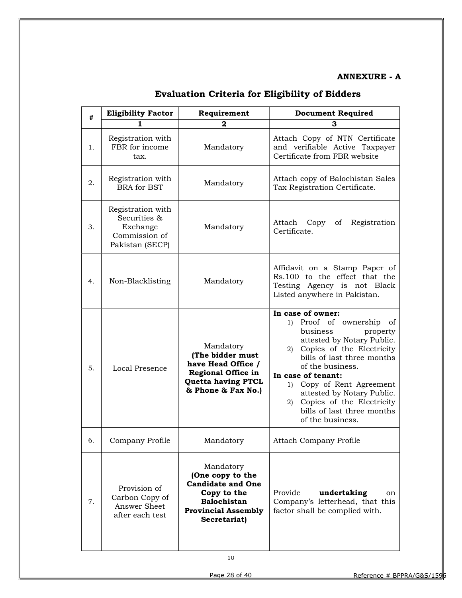#### ANNEXURE - A

| #  | <b>Eligibility Factor</b>                                                         | Requirement                                                                                                                                  | <b>Document Required</b>                                                                                                                                                                                                                                                                                                                                    |  |  |
|----|-----------------------------------------------------------------------------------|----------------------------------------------------------------------------------------------------------------------------------------------|-------------------------------------------------------------------------------------------------------------------------------------------------------------------------------------------------------------------------------------------------------------------------------------------------------------------------------------------------------------|--|--|
|    | ı                                                                                 | 2                                                                                                                                            | 3                                                                                                                                                                                                                                                                                                                                                           |  |  |
| 1. | Registration with<br>FBR for income<br>tax.                                       | Mandatory                                                                                                                                    | Attach Copy of NTN Certificate<br>and verifiable Active Taxpayer<br>Certificate from FBR website                                                                                                                                                                                                                                                            |  |  |
| 2. | Registration with<br><b>BRA</b> for BST                                           | Mandatory                                                                                                                                    | Attach copy of Balochistan Sales<br>Tax Registration Certificate.                                                                                                                                                                                                                                                                                           |  |  |
| 3. | Registration with<br>Securities &<br>Exchange<br>Commission of<br>Pakistan (SECP) | Mandatory                                                                                                                                    | Registration<br>Attach<br>Copy<br>of<br>Certificate.                                                                                                                                                                                                                                                                                                        |  |  |
| 4. | Non-Blacklisting                                                                  | Mandatory                                                                                                                                    | Affidavit on a Stamp Paper of<br>Rs.100 to the effect that the<br>Testing Agency is not Black<br>Listed anywhere in Pakistan.                                                                                                                                                                                                                               |  |  |
| 5. | Local Presence                                                                    | Mandatory<br>(The bidder must<br>have Head Office /<br><b>Regional Office in</b><br><b>Quetta having PTCL</b><br>& Phone & Fax No.)          | In case of owner:<br>1) Proof of ownership of<br>business<br>property<br>attested by Notary Public.<br>2) Copies of the Electricity<br>bills of last three months<br>of the business.<br>In case of tenant:<br>1) Copy of Rent Agreement<br>attested by Notary Public.<br>Copies of the Electricity<br>2)<br>bills of last three months<br>of the business. |  |  |
| 6. | Company Profile                                                                   | Mandatory                                                                                                                                    | <b>Attach Company Profile</b>                                                                                                                                                                                                                                                                                                                               |  |  |
| 7. | Provision of<br>Carbon Copy of<br>Answer Sheet<br>after each test                 | Mandatory<br>(One copy to the<br><b>Candidate and One</b><br>Copy to the<br><b>Balochistan</b><br><b>Provincial Assembly</b><br>Secretariat) | Provide<br>undertaking<br>on<br>Company's letterhead, that this<br>factor shall be complied with.                                                                                                                                                                                                                                                           |  |  |

## Evaluation Criteria for Eligibility of Bidders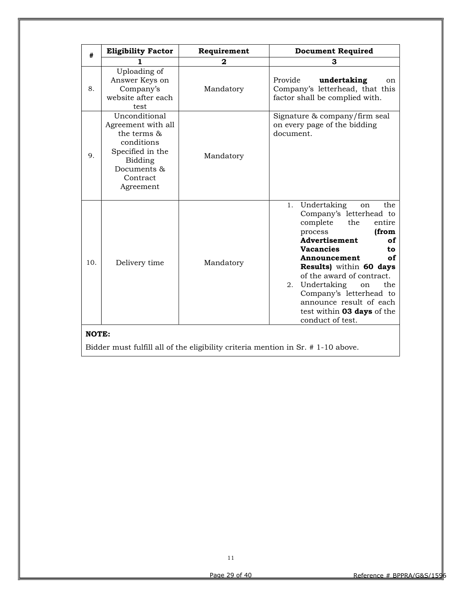| #     | <b>Eligibility Factor</b>                                                                                                               | Requirement | <b>Document Required</b>                                                                                                                                                                                                                                                                                                                                                         |
|-------|-----------------------------------------------------------------------------------------------------------------------------------------|-------------|----------------------------------------------------------------------------------------------------------------------------------------------------------------------------------------------------------------------------------------------------------------------------------------------------------------------------------------------------------------------------------|
|       |                                                                                                                                         | 2           | 3                                                                                                                                                                                                                                                                                                                                                                                |
| 8.    | Uploading of<br>Answer Keys on<br>Company's<br>website after each<br>test                                                               | Mandatory   | Provide<br>undertaking<br>on<br>Company's letterhead, that this<br>factor shall be complied with.                                                                                                                                                                                                                                                                                |
| 9.    | Unconditional<br>Agreement with all<br>the terms &<br>conditions<br>Specified in the<br>Bidding<br>Documents &<br>Contract<br>Agreement | Mandatory   | Signature & company/firm seal<br>on every page of the bidding<br>document.                                                                                                                                                                                                                                                                                                       |
| 10.   | Delivery time                                                                                                                           | Mandatory   | 1. Undertaking<br>the<br>on<br>Company's letterhead to<br>complete<br>the<br>entire<br>(from<br>process<br>Advertisement<br>of<br><b>Vacancies</b><br>to<br>of<br>Announcement<br>Results) within 60 days<br>of the award of contract.<br>the<br>Undertaking<br>2.<br>on<br>Company's letterhead to<br>announce result of each<br>test within 03 days of the<br>conduct of test. |
| NOTE: |                                                                                                                                         |             |                                                                                                                                                                                                                                                                                                                                                                                  |

Bidder must fulfill all of the eligibility criteria mention in Sr. # 1-10 above.

11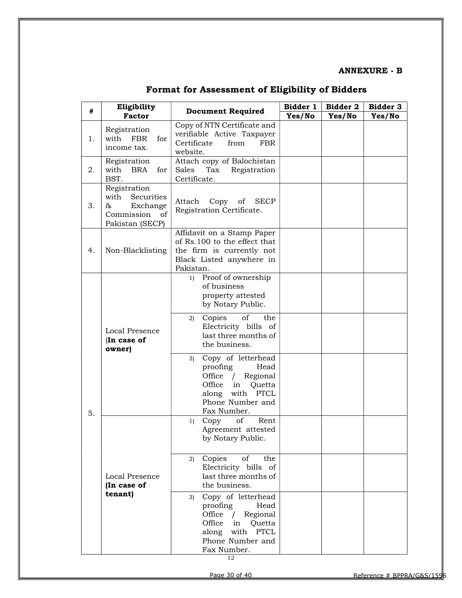#### ANNEXURE - B

| #  | Eligibility                                                                                |                                                                                                                                                        | Bidder 1 | Bidder 2 | Bidder 3 |
|----|--------------------------------------------------------------------------------------------|--------------------------------------------------------------------------------------------------------------------------------------------------------|----------|----------|----------|
|    | <b>Factor</b>                                                                              | <b>Document Required</b>                                                                                                                               | Yes/No   | Yes/No   | Yes/No   |
| 1. | Registration<br>with FBR<br>for<br>income tax.                                             | Copy of NTN Certificate and<br>verifiable Active Taxpayer<br>Certificate<br>from<br><b>FBR</b><br>website.                                             |          |          |          |
| 2. | Registration<br>with BRA<br>for<br>BST.                                                    | Attach copy of Balochistan<br>Tax<br>Sales<br>Registration<br>Certificate.                                                                             |          |          |          |
| 3. | Registration<br>Securities<br>with<br>&<br>Exchange<br>Commission<br>of<br>Pakistan (SECP) | Attach<br>Copy of<br><b>SECP</b><br>Registration Certificate.                                                                                          |          |          |          |
| 4. | Non-Blacklisting                                                                           | Affidavit on a Stamp Paper<br>of Rs.100 to the effect that<br>the firm is currently not<br>Black Listed anywhere in<br>Pakistan.                       |          |          |          |
|    |                                                                                            | Proof of ownership<br>1)<br>of business<br>property attested<br>by Notary Public.                                                                      |          |          |          |
|    | <b>Local Presence</b><br>(In case of<br>owner)                                             | of<br>Copies<br>the<br>2)<br>Electricity bills of<br>last three months of<br>the business.                                                             |          |          |          |
| 5. |                                                                                            | Copy of letterhead<br>3)<br>proofing<br>Head<br>Regional<br>Office $/$<br>Office<br>Quetta<br>in<br>along with PTCL<br>Phone Number and<br>Fax Number. |          |          |          |
|    |                                                                                            | Copy<br>of<br>Rent<br>1)<br>Agreement attested<br>by Notary Public.                                                                                    |          |          |          |
|    | Local Presence<br>(In case of                                                              | Copies<br>of<br>the<br>2)<br>Electricity bills of<br>last three months of<br>the business.                                                             |          |          |          |
|    | tenant)                                                                                    | Copy of letterhead<br>3)<br>proofing<br>Head<br>Regional<br>Office $/$<br>Office<br>in<br>Quetta<br>along with PTCL<br>Phone Number and<br>Fax Number. |          |          |          |

## Format for Assessment of Eligibility of Bidders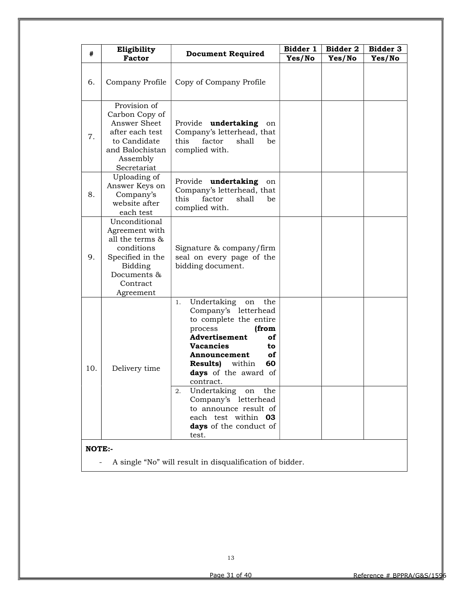| #   | Eligibility                                                                                                                             |                                                                                                                                                                                                                                                                                                                                                                                                  | Bidder 1 | <b>Bidder 3</b> |        |
|-----|-----------------------------------------------------------------------------------------------------------------------------------------|--------------------------------------------------------------------------------------------------------------------------------------------------------------------------------------------------------------------------------------------------------------------------------------------------------------------------------------------------------------------------------------------------|----------|-----------------|--------|
|     | <b>Factor</b>                                                                                                                           | <b>Document Required</b>                                                                                                                                                                                                                                                                                                                                                                         | Yes/No   | Yes/No          | Yes/No |
| 6.  | Company Profile                                                                                                                         | Copy of Company Profile                                                                                                                                                                                                                                                                                                                                                                          |          |                 |        |
| 7.  | Provision of<br>Carbon Copy of<br>Answer Sheet<br>after each test<br>to Candidate<br>and Balochistan<br>Assembly<br>Secretariat         | Provide<br>undertaking<br>on<br>Company's letterhead, that<br>factor<br>shall<br>this<br>be<br>complied with.                                                                                                                                                                                                                                                                                    |          |                 |        |
| 8.  | Uploading of<br>Answer Keys on<br>Company's<br>website after<br>each test                                                               | Provide undertaking<br>on<br>Company's letterhead, that<br>this<br>factor<br>shall<br>be<br>complied with.                                                                                                                                                                                                                                                                                       |          |                 |        |
| 9.  | Unconditional<br>Agreement with<br>all the terms &<br>conditions<br>Specified in the<br>Bidding<br>Documents &<br>Contract<br>Agreement | Signature & company/firm<br>seal on every page of the<br>bidding document.                                                                                                                                                                                                                                                                                                                       |          |                 |        |
| 10. | Delivery time                                                                                                                           | Undertaking<br>the<br>on<br>1.<br>Company's letterhead<br>to complete the entire<br>process<br>(from<br>Advertisement<br>of<br><b>Vacancies</b><br>to<br>οf<br>Announcement<br><b>Results)</b><br>within<br>60<br>days of the award of<br>contract.<br>Undertaking<br>the<br>2.<br>on<br>Company's letterhead<br>to announce result of<br>each test within 03<br>days of the conduct of<br>test. |          |                 |        |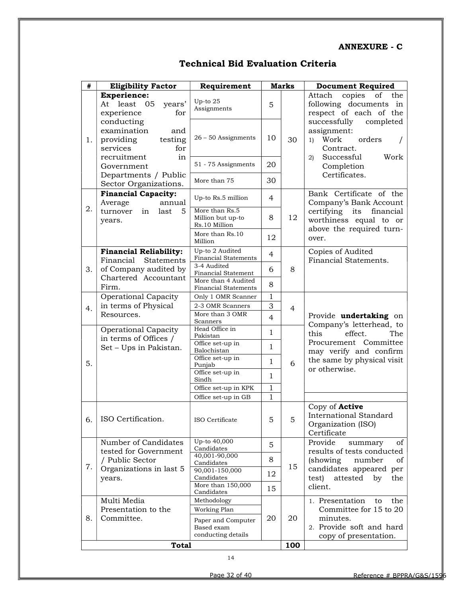#### ANNEXURE - C

| #  | <b>Eligibility Factor</b>                                                   | Requirement                                            | <b>Marks</b> |                | <b>Document Required</b>                                                                    |
|----|-----------------------------------------------------------------------------|--------------------------------------------------------|--------------|----------------|---------------------------------------------------------------------------------------------|
|    | <b>Experience:</b><br>At least 05<br>years'<br>experience<br>for            | Up-to 25<br>Assignments                                | 5            |                | Attach<br>copies<br>of<br>the<br>following documents in<br>respect of each of the           |
| 1. | conducting<br>examination<br>and<br>testing<br>providing<br>services<br>for | $26 - 50$ Assignments                                  | 10           | 30             | successfully<br>completed<br>assignment:<br>Work<br>orders<br>1)<br>Contract.               |
|    | recruitment<br>in<br>Government                                             | 51 - 75 Assignments                                    | 20           |                | Work<br>Successful<br>$\mathbf{2}$<br>Completion<br>Certificates.                           |
|    | Departments / Public<br>Sector Organizations.                               | More than 75                                           | 30           |                |                                                                                             |
| 2. | <b>Financial Capacity:</b><br>Average<br>annual                             | Up-to Rs.5 million                                     | 4            |                | Bank Certificate of the<br>Company's Bank Account                                           |
|    | turnover<br>5<br>last<br>in<br>years.                                       | More than Rs.5<br>Million but up-to<br>Rs.10 Million   | 8            | 12             | certifying<br>its financial<br>worthiness equal to or                                       |
|    |                                                                             | More than Rs.10<br>Million                             | 12           |                | above the required turn-<br>over.                                                           |
|    | <b>Financial Reliability:</b><br>Financial<br>Statements                    | Up-to 2 Audited<br><b>Financial Statements</b>         | 4            |                | Copies of Audited<br>Financial Statements.                                                  |
| 3. | of Company audited by                                                       | 3-4 Audited<br>Financial Statement                     | 6            | 8              |                                                                                             |
|    | Chartered Accountant<br>Firm.                                               | More than 4 Audited<br><b>Financial Statements</b>     | 8            |                |                                                                                             |
|    | Operational Capacity                                                        | Only 1 OMR Scanner                                     | $\mathbf{1}$ |                |                                                                                             |
| 4. | in terms of Physical                                                        | 2-3 OMR Scanners                                       | 3            | $\overline{4}$ |                                                                                             |
|    | Resources.                                                                  | More than 3 OMR<br>Scanners                            | 4            |                | Provide undertaking on<br>Company's letterhead, to                                          |
|    | <b>Operational Capacity</b><br>in terms of Offices /                        | Head Office in<br>Pakistan                             | $\mathbf{1}$ |                | this<br>effect.<br>The                                                                      |
|    | Set - Ups in Pakistan.                                                      | Office set-up in<br>Balochistan                        | $\mathbf{1}$ |                | Procurement Committee<br>may verify and confirm                                             |
| 5. |                                                                             | Office set-up in<br>Punjab                             | $\mathbf{1}$ | 6              | the same by physical visit<br>or otherwise.                                                 |
|    |                                                                             | Office set-up in<br>Sindh                              | $\mathbf{1}$ |                |                                                                                             |
|    |                                                                             | Office set-up in KPK                                   | 1            |                |                                                                                             |
|    |                                                                             | Office set-up in GB                                    | 1            |                |                                                                                             |
| 6. | ISO Certification.                                                          | ISO Certificate                                        | 5            | 5              | Copy of <b>Active</b><br><b>International Standard</b><br>Organization (ISO)<br>Certificate |
|    | Number of Candidates<br>tested for Government                               | Up-to 40,000<br>Candidates                             | 5            |                | Provide<br>of<br>summary<br>results of tests conducted                                      |
| 7. | / Public Sector                                                             | 40,001-90,000<br>Candidates                            | 8            | 15             | (showing)<br>number<br>οf                                                                   |
|    | Organizations in last 5<br>years.                                           | 90,001-150,000<br>Candidates                           | 12           |                | candidates appeared per<br>test)<br>attested<br>by<br>the                                   |
|    |                                                                             | More than 150,000<br>Candidates                        | 15           |                | client.                                                                                     |
|    | Multi Media                                                                 | Methodology                                            |              |                | 1. Presentation<br>the<br>to                                                                |
|    | Presentation to the                                                         | Working Plan                                           |              |                | Committee for 15 to 20                                                                      |
| 8. | Committee.                                                                  | Paper and Computer<br>Based exam<br>conducting details | 20           | 20             | minutes.<br>2. Provide soft and hard<br>copy of presentation.                               |
|    | <b>Total</b>                                                                |                                                        |              |                |                                                                                             |

## Technical Bid Evaluation Criteria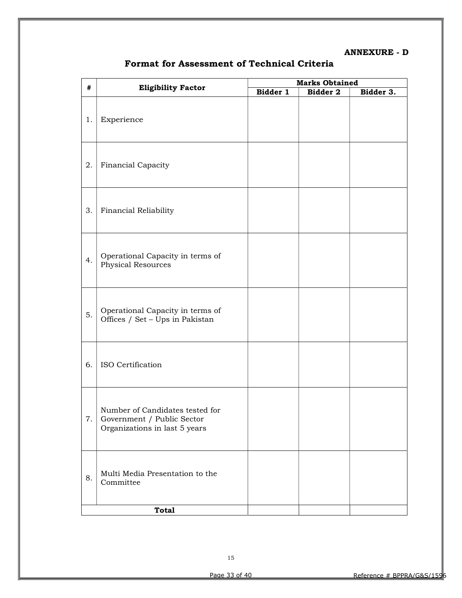#### ANNEXURE - D

| #  |                                                                                                | <b>Marks Obtained</b> |          |           |  |
|----|------------------------------------------------------------------------------------------------|-----------------------|----------|-----------|--|
|    | <b>Eligibility Factor</b>                                                                      | Bidder 1              | Bidder 2 | Bidder 3. |  |
| 1. | Experience                                                                                     |                       |          |           |  |
| 2. | Financial Capacity                                                                             |                       |          |           |  |
| 3. | Financial Reliability                                                                          |                       |          |           |  |
| 4. | Operational Capacity in terms of<br><b>Physical Resources</b>                                  |                       |          |           |  |
| 5. | Operational Capacity in terms of<br>Offices / Set - Ups in Pakistan                            |                       |          |           |  |
| 6. | ISO Certification                                                                              |                       |          |           |  |
| 7. | Number of Candidates tested for<br>Government / Public Sector<br>Organizations in last 5 years |                       |          |           |  |
| 8. | Multi Media Presentation to the<br>Committee                                                   |                       |          |           |  |
|    | <b>Total</b>                                                                                   |                       |          |           |  |
|    |                                                                                                |                       |          |           |  |

## Format for Assessment of Technical Criteria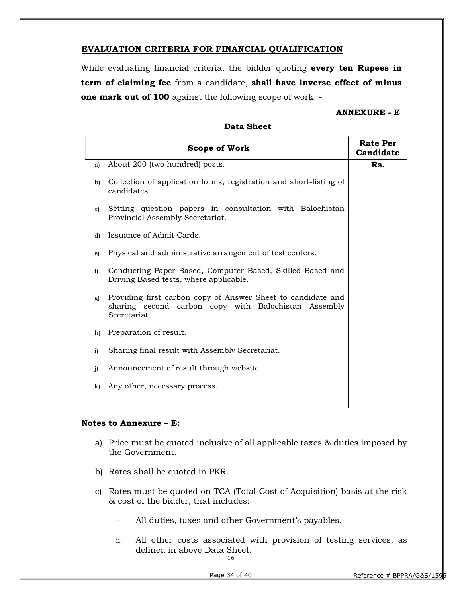#### EVALUATION CRITERIA FOR FINANCIAL QUALIFICATION

While evaluating financial criteria, the bidder quoting **every ten Rupees in** term of claiming fee from a candidate, shall have inverse effect of minus one mark out of 100 against the following scope of work: -

#### ANNEXURE - E

|              | <b>Scope of Work</b>                                                                                                                 | <b>Rate Per</b><br>Candidate |
|--------------|--------------------------------------------------------------------------------------------------------------------------------------|------------------------------|
| a)           | About 200 (two hundred) posts.                                                                                                       | Rs.                          |
| b)           | Collection of application forms, registration and short-listing of<br>candidates.                                                    |                              |
| c)           | Setting question papers in consultation with Balochistan<br>Provincial Assembly Secretariat.                                         |                              |
| d)           | Issuance of Admit Cards.                                                                                                             |                              |
| e)           | Physical and administrative arrangement of test centers.                                                                             |                              |
| f            | Conducting Paper Based, Computer Based, Skilled Based and<br>Driving Based tests, where applicable.                                  |                              |
| g)           | Providing first carbon copy of Answer Sheet to candidate and<br>sharing second carbon copy with Balochistan Assembly<br>Secretariat. |                              |
| h)           | Preparation of result.                                                                                                               |                              |
| i)           | Sharing final result with Assembly Secretariat.                                                                                      |                              |
| $\mathbf{j}$ | Announcement of result through website.                                                                                              |                              |
| k)           | Any other, necessary process.                                                                                                        |                              |
|              |                                                                                                                                      |                              |

#### Data Sheet

#### Notes to Annexure – E:

- a) Price must be quoted inclusive of all applicable taxes & duties imposed by the Government.
- b) Rates shall be quoted in PKR.
- c) Rates must be quoted on TCA (Total Cost of Acquisition) basis at the risk & cost of the bidder, that includes:
	- i. All duties, taxes and other Government's payables.
	- ii. All other costs associated with provision of testing services, as defined in above Data Sheet.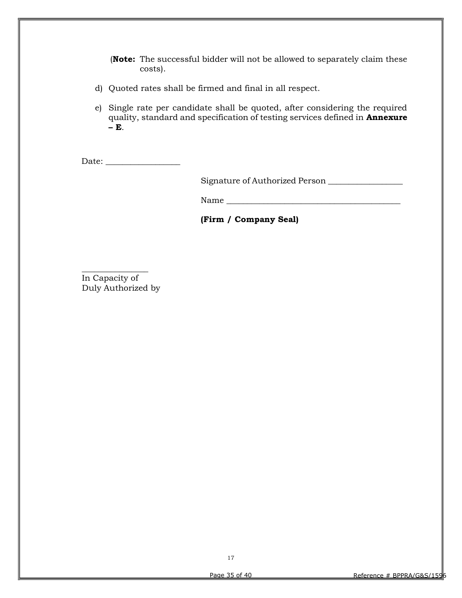(Note: The successful bidder will not be allowed to separately claim these costs).

- d) Quoted rates shall be firmed and final in all respect.
- e) Single rate per candidate shall be quoted, after considering the required quality, standard and specification of testing services defined in Annexure  $-$ **E**.

Date: \_\_\_\_\_\_\_\_\_\_\_\_\_\_\_\_\_\_

Signature of Authorized Person \_\_\_\_\_\_\_\_\_\_\_\_\_\_\_\_\_\_

Name \_\_\_\_\_\_\_\_\_\_\_\_\_\_\_\_\_\_\_\_\_\_\_\_\_\_\_\_\_\_\_\_\_\_\_\_\_\_\_\_\_\_

(Firm / Company Seal)

In Capacity of Duly Authorized by

\_\_\_\_\_\_\_\_\_\_\_\_\_\_\_\_

17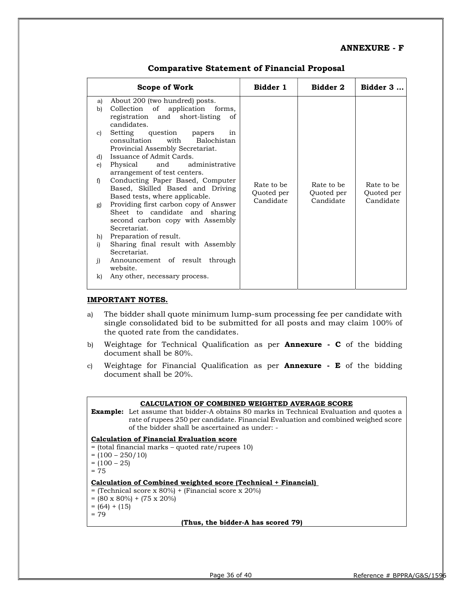#### ANNEXURE - F

|              | Scope of Work                                                                                                               | Bidder 1                 | Bidder 2                 | Bidder 3                 |
|--------------|-----------------------------------------------------------------------------------------------------------------------------|--------------------------|--------------------------|--------------------------|
| a)<br>b)     | About 200 (two hundred) posts.<br>Collection of application forms,<br>registration and short-listing<br>of<br>candidates.   |                          |                          |                          |
| C)           | Setting question papers<br>in<br>consultation<br>with<br>Balochistan<br>Provincial Assembly Secretariat.                    |                          |                          |                          |
| d)           | Issuance of Admit Cards.                                                                                                    |                          |                          |                          |
| e)           | administrative<br>Physical<br>and<br>arrangement of test centers.                                                           |                          |                          |                          |
| $\mathbf{f}$ | Conducting Paper Based, Computer<br>Based, Skilled Based and Driving<br>Based tests, where applicable.                      | Rate to be<br>Quoted per | Rate to be<br>Quoted per | Rate to be<br>Quoted per |
| g)           | Providing first carbon copy of Answer<br>Sheet to candidate and sharing<br>second carbon copy with Assembly<br>Secretariat. | Candidate                | Candidate                | Candidate                |
| h)           | Preparation of result.                                                                                                      |                          |                          |                          |
| i)           | Sharing final result with Assembly<br>Secretariat.                                                                          |                          |                          |                          |
| i)           | Announcement of result through<br>website.                                                                                  |                          |                          |                          |
| k)           | Any other, necessary process.                                                                                               |                          |                          |                          |

#### Comparative Statement of Financial Proposal

#### IMPORTANT NOTES.

- a) The bidder shall quote minimum lump-sum processing fee per candidate with single consolidated bid to be submitted for all posts and may claim 100% of the quoted rate from the candidates.
- b) Weightage for Technical Qualification as per **Annexure C** of the bidding document shall be 80%.
- c) Weightage for Financial Qualification as per **Annexure**  $\cdot$  **E** of the bidding document shall be 20%.

#### CALCULATION OF COMBINED WEIGHTED AVERAGE SCORE Example: Let assume that bidder-A obtains 80 marks in Technical Evaluation and quotes a rate of rupees 250 per candidate. Financial Evaluation and combined weighed score of the bidder shall be ascertained as under: - Calculation of Financial Evaluation score = (total financial marks – quoted rate/rupees 10)  $= (100 - 250/10)$  $= (100 - 25)$  $= 75$ Calculation of Combined weighted score (Technical + Financial) = (Technical score x 80%) + (Financial score x 20%)  $= (80 \times 80\%) + (75 \times 20\%)$  $= (64) + (15)$  $= 79$

(Thus, the bidder-A has scored 79)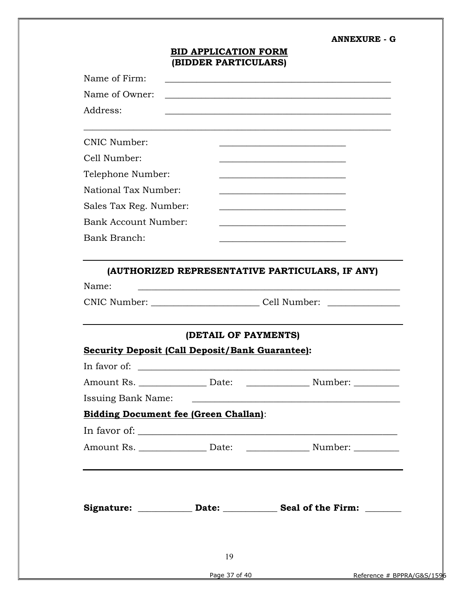#### ANNEXURE - G

### BID APPLICATION FORM (BIDDER PARTICULARS)

| Name of Firm:                                          |                      |                                                                                  |  |  |  |  |
|--------------------------------------------------------|----------------------|----------------------------------------------------------------------------------|--|--|--|--|
| Name of Owner:                                         |                      |                                                                                  |  |  |  |  |
| Address:                                               |                      |                                                                                  |  |  |  |  |
|                                                        |                      |                                                                                  |  |  |  |  |
| <b>CNIC Number:</b>                                    |                      |                                                                                  |  |  |  |  |
| Cell Number:                                           |                      |                                                                                  |  |  |  |  |
| Telephone Number:                                      |                      |                                                                                  |  |  |  |  |
| National Tax Number:                                   |                      |                                                                                  |  |  |  |  |
| Sales Tax Reg. Number:                                 |                      |                                                                                  |  |  |  |  |
| Bank Account Number:                                   |                      |                                                                                  |  |  |  |  |
| Bank Branch:                                           |                      |                                                                                  |  |  |  |  |
|                                                        |                      |                                                                                  |  |  |  |  |
|                                                        |                      | (AUTHORIZED REPRESENTATIVE PARTICULARS, IF ANY)                                  |  |  |  |  |
| Name:                                                  |                      |                                                                                  |  |  |  |  |
|                                                        |                      | CNIC Number: _________________________________Cell Number: _____________________ |  |  |  |  |
|                                                        |                      |                                                                                  |  |  |  |  |
|                                                        | (DETAIL OF PAYMENTS) |                                                                                  |  |  |  |  |
| <b>Security Deposit (Call Deposit/Bank Guarantee):</b> |                      |                                                                                  |  |  |  |  |
| In favor of:                                           |                      |                                                                                  |  |  |  |  |
| Amount Rs. ___________________ Date:                   |                      |                                                                                  |  |  |  |  |
| <b>Issuing Bank Name:</b>                              |                      |                                                                                  |  |  |  |  |
| <b>Bidding Document fee (Green Challan):</b>           |                      |                                                                                  |  |  |  |  |
|                                                        |                      |                                                                                  |  |  |  |  |
|                                                        |                      |                                                                                  |  |  |  |  |
|                                                        |                      |                                                                                  |  |  |  |  |
|                                                        |                      |                                                                                  |  |  |  |  |
|                                                        |                      |                                                                                  |  |  |  |  |
|                                                        |                      | Signature: _____________ Date: _____________ Seal of the Firm: _______           |  |  |  |  |
|                                                        |                      |                                                                                  |  |  |  |  |
|                                                        |                      |                                                                                  |  |  |  |  |
|                                                        | 19                   |                                                                                  |  |  |  |  |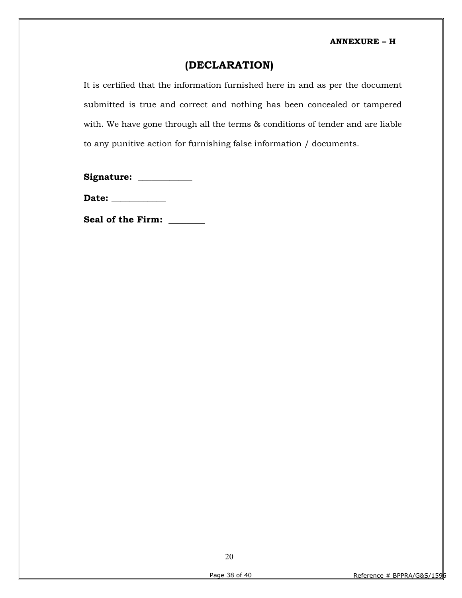## (DECLARATION)

It is certified that the information furnished here in and as per the document submitted is true and correct and nothing has been concealed or tampered with. We have gone through all the terms & conditions of tender and are liable to any punitive action for furnishing false information / documents.

Signature: \_\_\_\_\_\_\_\_\_\_\_

Date: \_\_\_\_\_\_\_\_\_\_\_\_

Seal of the Firm: \_\_\_\_\_\_\_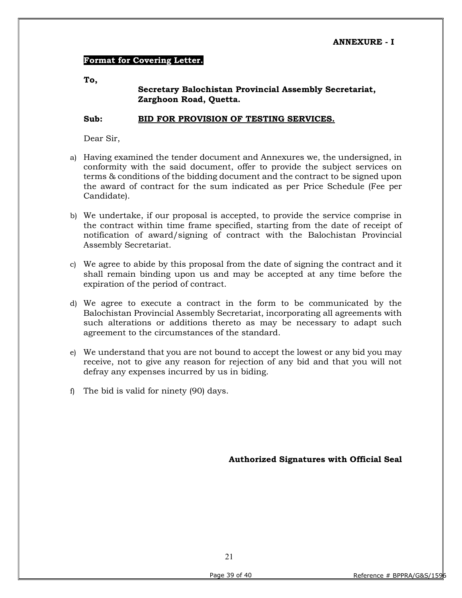#### Format for Covering Letter.

To,

#### Secretary Balochistan Provincial Assembly Secretariat, Zarghoon Road, Quetta.

#### Sub: BID FOR PROVISION OF TESTING SERVICES.

Dear Sir,

- a) Having examined the tender document and Annexures we, the undersigned, in conformity with the said document, offer to provide the subject services on terms & conditions of the bidding document and the contract to be signed upon the award of contract for the sum indicated as per Price Schedule (Fee per Candidate).
- b) We undertake, if our proposal is accepted, to provide the service comprise in the contract within time frame specified, starting from the date of receipt of notification of award/signing of contract with the Balochistan Provincial Assembly Secretariat.
- c) We agree to abide by this proposal from the date of signing the contract and it shall remain binding upon us and may be accepted at any time before the expiration of the period of contract.
- d) We agree to execute a contract in the form to be communicated by the Balochistan Provincial Assembly Secretariat, incorporating all agreements with such alterations or additions thereto as may be necessary to adapt such agreement to the circumstances of the standard.
- e) We understand that you are not bound to accept the lowest or any bid you may receive, not to give any reason for rejection of any bid and that you will not defray any expenses incurred by us in biding.
- f) The bid is valid for ninety (90) days.

Authorized Signatures with Official Seal